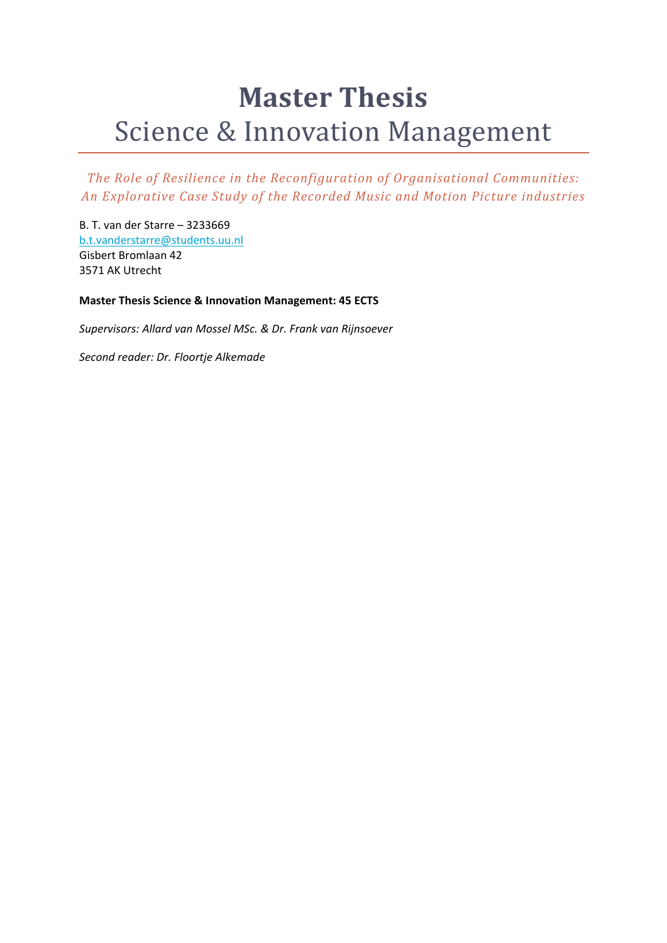# **Master Thesis** Science & Innovation Management

*The Role of Resilience in the Reconfiguration of Organisational Communities: An Explorative Case Study of the Recorded Music and Motion Picture industries*

B. T. van der Starre – 3233669 b.t.vanderstarre@students.uu.nl Gisbert Bromlaan 42 3571 AK Utrecht

**Master Thesis Science & Innovation Management: 45 ECTS**

*Supervisors: Allard van Mossel MSc. & Dr. Frank van Rijnsoever*

*Second reader: Dr. Floortje Alkemade*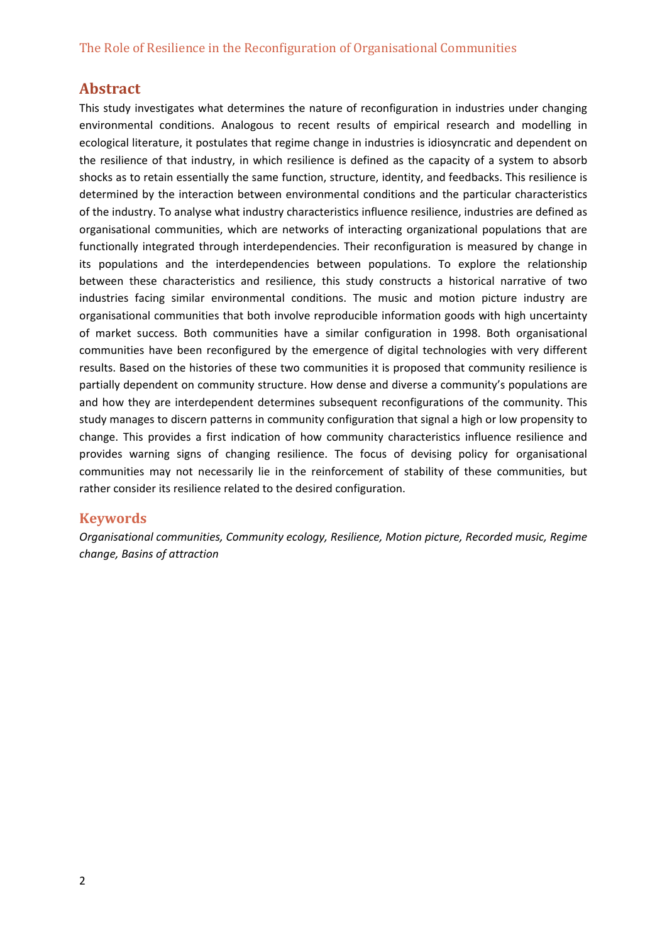# **Abstract**

This study investigates what determines the nature of reconfiguration in industries under changing environmental conditions. Analogous to recent results of empirical research and modelling in ecological literature, it postulates that regime change in industries is idiosyncratic and dependent on the resilience of that industry, in which resilience is defined as the capacity of a system to absorb shocks as to retain essentially the same function, structure, identity, and feedbacks. This resilience is determined by the interaction between environmental conditions and the particular characteristics of the industry. To analyse what industry characteristics influence resilience, industries are defined as organisational communities, which are networks of interacting organizational populations that are functionally integrated through interdependencies. Their reconfiguration is measured by change in its populations and the interdependencies between populations. To explore the relationship between these characteristics and resilience, this study constructs a historical narrative of two industries facing similar environmental conditions. The music and motion picture industry are organisational communities that both involve reproducible information goods with high uncertainty of market success. Both communities have a similar configuration in 1998. Both organisational communities have been reconfigured by the emergence of digital technologies with very different results. Based on the histories of these two communities it is proposed that community resilience is partially dependent on community structure. How dense and diverse a community's populations are and how they are interdependent determines subsequent reconfigurations of the community. This study manages to discern patterns in community configuration that signal a high or low propensity to change. This provides a first indication of how community characteristics influence resilience and provides warning signs of changing resilience. The focus of devising policy for organisational communities may not necessarily lie in the reinforcement of stability of these communities, but rather consider its resilience related to the desired configuration.

## **Keywords**

*Organisational communities, Community ecology, Resilience, Motion picture, Recorded music, Regime change, Basins of attraction*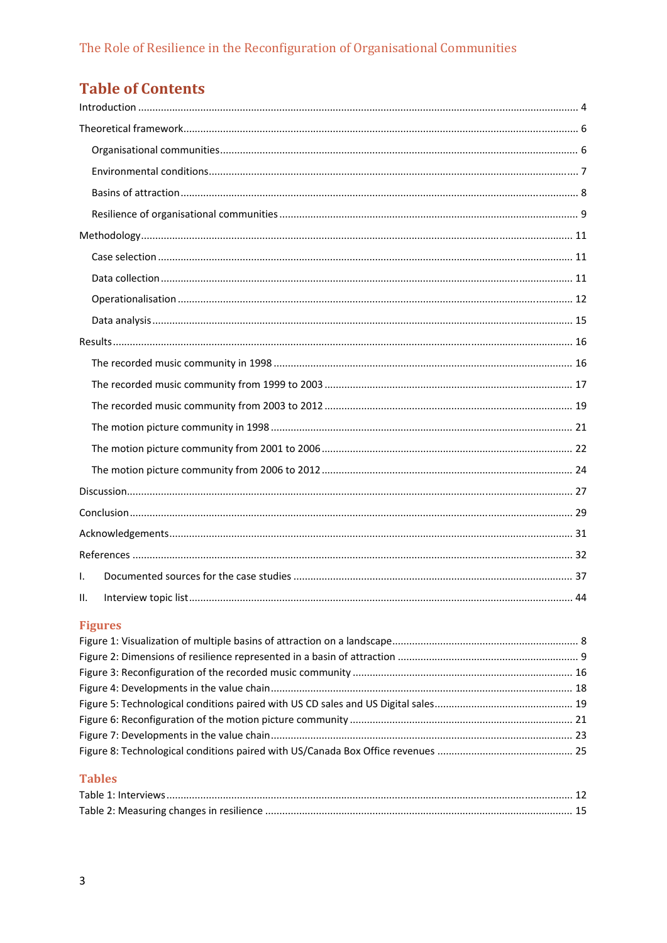# **Table of Contents**

| $\mathsf{L}$ |  |
|--------------|--|
| Ш.           |  |

# **Figures**

## **Tables**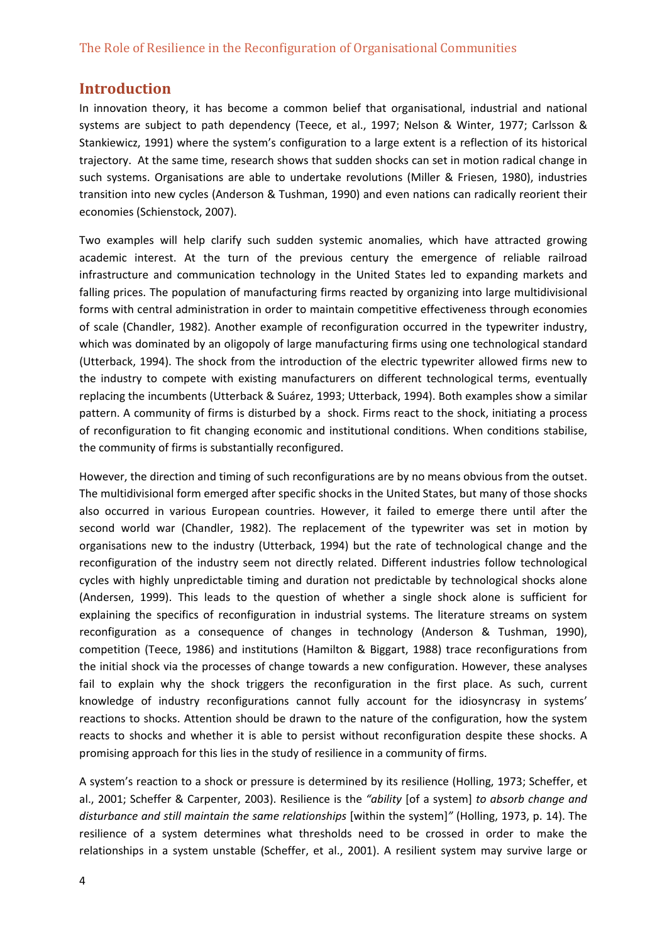## **Introduction**

In innovation theory, it has become a common belief that organisational, industrial and national systems are subject to path dependency (Teece, et al., 1997; Nelson & Winter, 1977; Carlsson & Stankiewicz, 1991) where the system's configuration to a large extent is a reflection of its historical trajectory. At the same time, research shows that sudden shocks can set in motion radical change in such systems. Organisations are able to undertake revolutions (Miller & Friesen, 1980), industries transition into new cycles (Anderson & Tushman, 1990) and even nations can radically reorient their economies (Schienstock, 2007).

Two examples will help clarify such sudden systemic anomalies, which have attracted growing academic interest. At the turn of the previous century the emergence of reliable railroad infrastructure and communication technology in the United States led to expanding markets and falling prices. The population of manufacturing firms reacted by organizing into large multidivisional forms with central administration in order to maintain competitive effectiveness through economies of scale (Chandler, 1982). Another example of reconfiguration occurred in the typewriter industry, which was dominated by an oligopoly of large manufacturing firms using one technological standard (Utterback, 1994). The shock from the introduction of the electric typewriter allowed firms new to the industry to compete with existing manufacturers on different technological terms, eventually replacing the incumbents (Utterback & Suárez, 1993; Utterback, 1994). Both examples show a similar pattern. A community of firms is disturbed by a shock. Firms react to the shock, initiating a process of reconfiguration to fit changing economic and institutional conditions. When conditions stabilise, the community of firms is substantially reconfigured.

However, the direction and timing of such reconfigurations are by no means obvious from the outset. The multidivisional form emerged after specific shocks in the United States, but many of those shocks also occurred in various European countries. However, it failed to emerge there until after the second world war (Chandler, 1982). The replacement of the typewriter was set in motion by organisations new to the industry (Utterback, 1994) but the rate of technological change and the reconfiguration of the industry seem not directly related. Different industries follow technological cycles with highly unpredictable timing and duration not predictable by technological shocks alone (Andersen, 1999). This leads to the question of whether a single shock alone is sufficient for explaining the specifics of reconfiguration in industrial systems. The literature streams on system reconfiguration as a consequence of changes in technology (Anderson & Tushman, 1990), competition (Teece, 1986) and institutions (Hamilton & Biggart, 1988) trace reconfigurations from the initial shock via the processes of change towards a new configuration. However, these analyses fail to explain why the shock triggers the reconfiguration in the first place. As such, current knowledge of industry reconfigurations cannot fully account for the idiosyncrasy in systems' reactions to shocks. Attention should be drawn to the nature of the configuration, how the system reacts to shocks and whether it is able to persist without reconfiguration despite these shocks. A promising approach for this lies in the study of resilience in a community of firms.

A system's reaction to a shock or pressure is determined by its resilience (Holling, 1973; Scheffer, et al., 2001; Scheffer & Carpenter, 2003). Resilience is the *"ability* [of a system] *to absorb change and disturbance and still maintain the same relationships* [within the system]*"* (Holling, 1973, p. 14). The resilience of a system determines what thresholds need to be crossed in order to make the relationships in a system unstable (Scheffer, et al., 2001). A resilient system may survive large or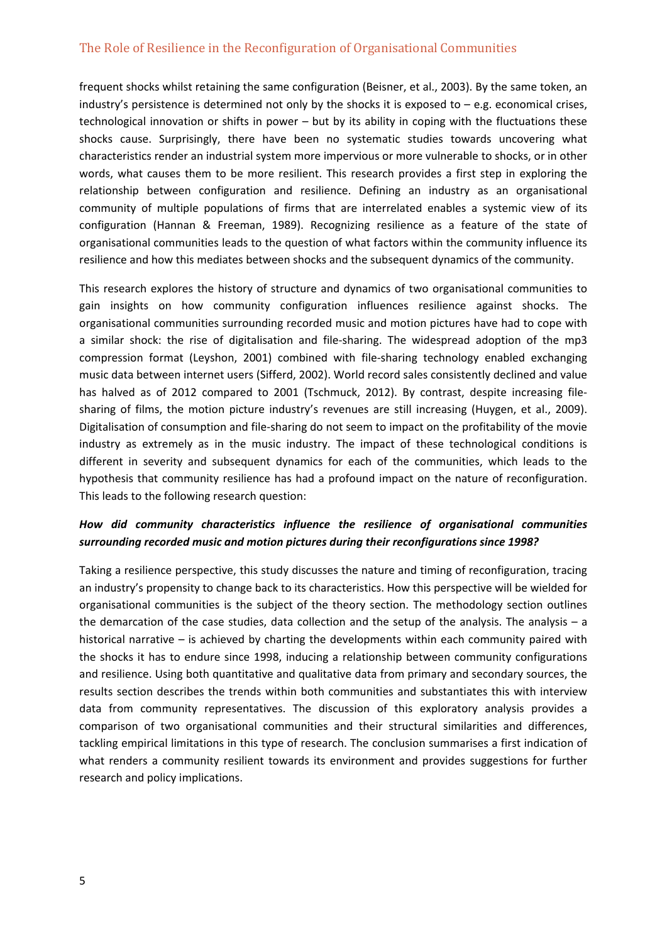frequent shocks whilst retaining the same configuration (Beisner, et al., 2003). By the same token, an industry's persistence is determined not only by the shocks it is exposed to – e.g. economical crises, technological innovation or shifts in power – but by its ability in coping with the fluctuations these shocks cause. Surprisingly, there have been no systematic studies towards uncovering what characteristics render an industrial system more impervious or more vulnerable to shocks, or in other words, what causes them to be more resilient. This research provides a first step in exploring the relationship between configuration and resilience. Defining an industry as an organisational community of multiple populations of firms that are interrelated enables a systemic view of its configuration (Hannan & Freeman, 1989). Recognizing resilience as a feature of the state of organisational communities leads to the question of what factors within the community influence its resilience and how this mediates between shocks and the subsequent dynamics of the community.

This research explores the history of structure and dynamics of two organisational communities to gain insights on how community configuration influences resilience against shocks. The organisational communities surrounding recorded music and motion pictures have had to cope with a similar shock: the rise of digitalisation and file‐sharing. The widespread adoption of the mp3 compression format (Leyshon, 2001) combined with file‐sharing technology enabled exchanging music data between internet users (Sifferd, 2002). World record sales consistently declined and value has halved as of 2012 compared to 2001 (Tschmuck, 2012). By contrast, despite increasing filesharing of films, the motion picture industry's revenues are still increasing (Huygen, et al., 2009). Digitalisation of consumption and file‐sharing do not seem to impact on the profitability of the movie industry as extremely as in the music industry. The impact of these technological conditions is different in severity and subsequent dynamics for each of the communities, which leads to the hypothesis that community resilience has had a profound impact on the nature of reconfiguration. This leads to the following research question:

## *How did community characteristics influence the resilience of organisational communities surrounding recorded music and motion pictures during their reconfigurations since 1998?*

Taking a resilience perspective, this study discusses the nature and timing of reconfiguration, tracing an industry's propensity to change back to its characteristics. How this perspective will be wielded for organisational communities is the subject of the theory section. The methodology section outlines the demarcation of the case studies, data collection and the setup of the analysis. The analysis – a historical narrative – is achieved by charting the developments within each community paired with the shocks it has to endure since 1998, inducing a relationship between community configurations and resilience. Using both quantitative and qualitative data from primary and secondary sources, the results section describes the trends within both communities and substantiates this with interview data from community representatives. The discussion of this exploratory analysis provides a comparison of two organisational communities and their structural similarities and differences, tackling empirical limitations in this type of research. The conclusion summarises a first indication of what renders a community resilient towards its environment and provides suggestions for further research and policy implications.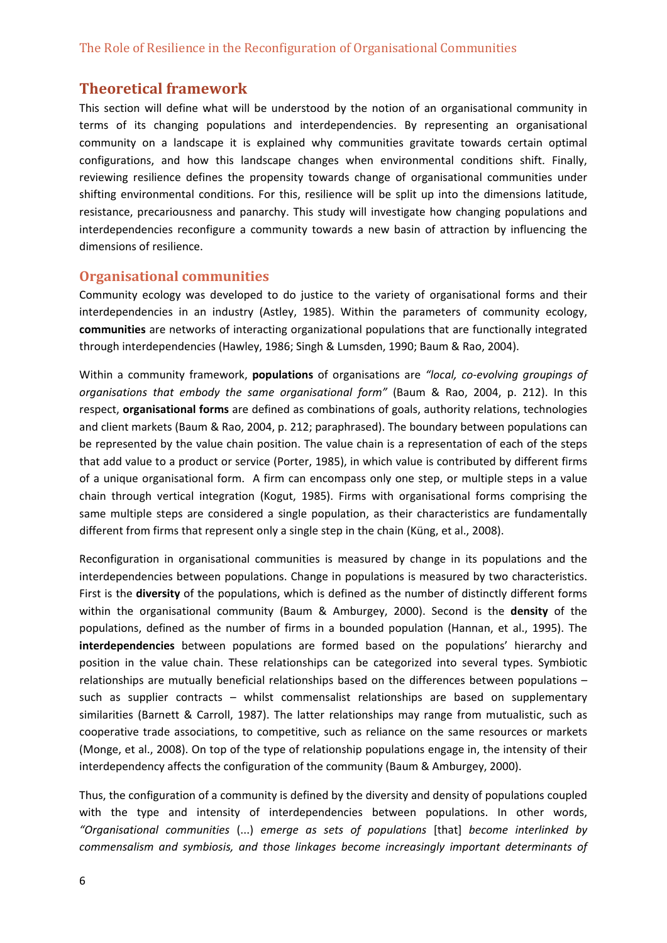## **Theoretical framework**

This section will define what will be understood by the notion of an organisational community in terms of its changing populations and interdependencies. By representing an organisational community on a landscape it is explained why communities gravitate towards certain optimal configurations, and how this landscape changes when environmental conditions shift. Finally, reviewing resilience defines the propensity towards change of organisational communities under shifting environmental conditions. For this, resilience will be split up into the dimensions latitude, resistance, precariousness and panarchy. This study will investigate how changing populations and interdependencies reconfigure a community towards a new basin of attraction by influencing the dimensions of resilience.

#### **Organisational communities**

Community ecology was developed to do justice to the variety of organisational forms and their interdependencies in an industry (Astley, 1985). Within the parameters of community ecology, **communities** are networks of interacting organizational populations that are functionally integrated through interdependencies (Hawley, 1986; Singh & Lumsden, 1990; Baum & Rao, 2004).

Within a community framework, **populations** of organisations are *"local, co‐evolving groupings of organisations that embody the same organisational form"* (Baum & Rao, 2004, p. 212). In this respect, **organisational forms** are defined as combinations of goals, authority relations, technologies and client markets (Baum & Rao, 2004, p. 212; paraphrased). The boundary between populations can be represented by the value chain position. The value chain is a representation of each of the steps that add value to a product or service (Porter, 1985), in which value is contributed by different firms of a unique organisational form. A firm can encompass only one step, or multiple steps in a value chain through vertical integration (Kogut, 1985). Firms with organisational forms comprising the same multiple steps are considered a single population, as their characteristics are fundamentally different from firms that represent only a single step in the chain (Küng, et al., 2008).

Reconfiguration in organisational communities is measured by change in its populations and the interdependencies between populations. Change in populations is measured by two characteristics. First is the **diversity** of the populations, which is defined as the number of distinctly different forms within the organisational community (Baum & Amburgey, 2000). Second is the **density** of the populations, defined as the number of firms in a bounded population (Hannan, et al., 1995). The **interdependencies** between populations are formed based on the populations' hierarchy and position in the value chain. These relationships can be categorized into several types. Symbiotic relationships are mutually beneficial relationships based on the differences between populations – such as supplier contracts – whilst commensalist relationships are based on supplementary similarities (Barnett & Carroll, 1987). The latter relationships may range from mutualistic, such as cooperative trade associations, to competitive, such as reliance on the same resources or markets (Monge, et al., 2008). On top of the type of relationship populations engage in, the intensity of their interdependency affects the configuration of the community (Baum & Amburgey, 2000).

Thus, the configuration of a community is defined by the diversity and density of populations coupled with the type and intensity of interdependencies between populations. In other words, *"Organisational communities* (...) *emerge as sets of populations* [that] *become interlinked by commensalism and symbiosis, and those linkages become increasingly important determinants of*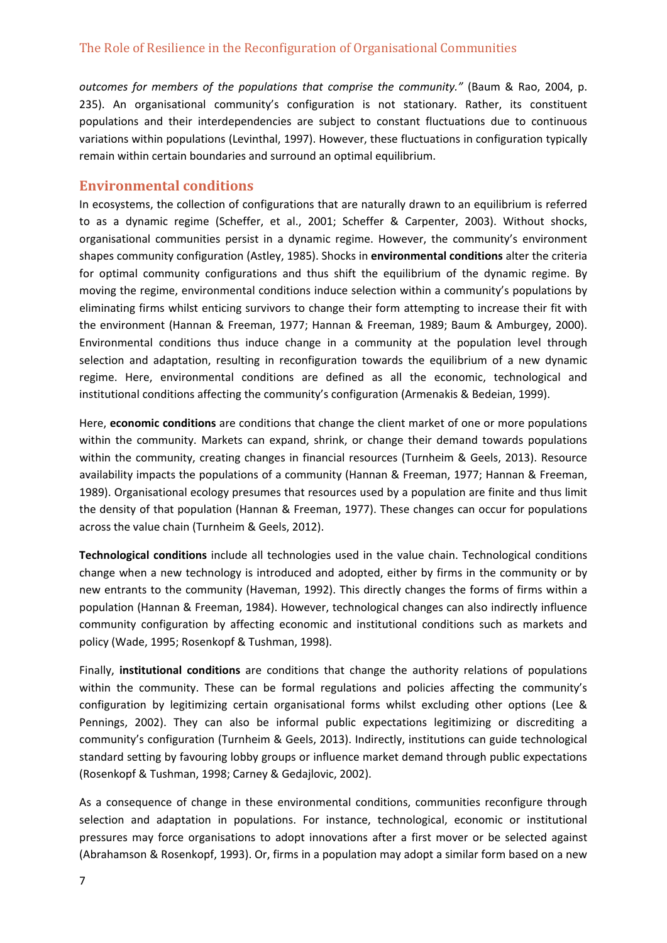*outcomes for members of the populations that comprise the community."* (Baum & Rao, 2004, p. 235). An organisational community's configuration is not stationary. Rather, its constituent populations and their interdependencies are subject to constant fluctuations due to continuous variations within populations (Levinthal, 1997). However, these fluctuations in configuration typically remain within certain boundaries and surround an optimal equilibrium.

#### **Environmental conditions**

In ecosystems, the collection of configurations that are naturally drawn to an equilibrium is referred to as a dynamic regime (Scheffer, et al., 2001; Scheffer & Carpenter, 2003). Without shocks, organisational communities persist in a dynamic regime. However, the community's environment shapes community configuration (Astley, 1985). Shocks in **environmental conditions** alter the criteria for optimal community configurations and thus shift the equilibrium of the dynamic regime. By moving the regime, environmental conditions induce selection within a community's populations by eliminating firms whilst enticing survivors to change their form attempting to increase their fit with the environment (Hannan & Freeman, 1977; Hannan & Freeman, 1989; Baum & Amburgey, 2000). Environmental conditions thus induce change in a community at the population level through selection and adaptation, resulting in reconfiguration towards the equilibrium of a new dynamic regime. Here, environmental conditions are defined as all the economic, technological and institutional conditions affecting the community's configuration (Armenakis & Bedeian, 1999).

Here, **economic conditions** are conditions that change the client market of one or more populations within the community. Markets can expand, shrink, or change their demand towards populations within the community, creating changes in financial resources (Turnheim & Geels, 2013). Resource availability impacts the populations of a community (Hannan & Freeman, 1977; Hannan & Freeman, 1989). Organisational ecology presumes that resources used by a population are finite and thus limit the density of that population (Hannan & Freeman, 1977). These changes can occur for populations across the value chain (Turnheim & Geels, 2012).

**Technological conditions** include all technologies used in the value chain. Technological conditions change when a new technology is introduced and adopted, either by firms in the community or by new entrants to the community (Haveman, 1992). This directly changes the forms of firms within a population (Hannan & Freeman, 1984). However, technological changes can also indirectly influence community configuration by affecting economic and institutional conditions such as markets and policy (Wade, 1995; Rosenkopf & Tushman, 1998).

Finally, **institutional conditions** are conditions that change the authority relations of populations within the community. These can be formal regulations and policies affecting the community's configuration by legitimizing certain organisational forms whilst excluding other options (Lee & Pennings, 2002). They can also be informal public expectations legitimizing or discrediting a community's configuration (Turnheim & Geels, 2013). Indirectly, institutions can guide technological standard setting by favouring lobby groups or influence market demand through public expectations (Rosenkopf & Tushman, 1998; Carney & Gedajlovic, 2002).

As a consequence of change in these environmental conditions, communities reconfigure through selection and adaptation in populations. For instance, technological, economic or institutional pressures may force organisations to adopt innovations after a first mover or be selected against (Abrahamson & Rosenkopf, 1993). Or, firms in a population may adopt a similar form based on a new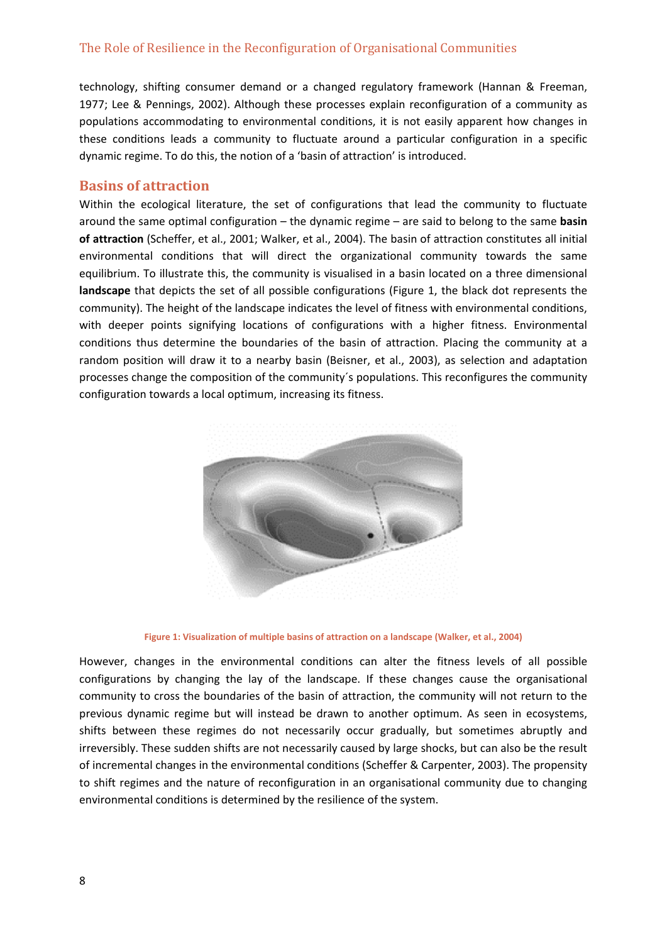technology, shifting consumer demand or a changed regulatory framework (Hannan & Freeman, 1977; Lee & Pennings, 2002). Although these processes explain reconfiguration of a community as populations accommodating to environmental conditions, it is not easily apparent how changes in these conditions leads a community to fluctuate around a particular configuration in a specific dynamic regime. To do this, the notion of a 'basin of attraction' is introduced.

#### **Basins of attraction**

Within the ecological literature, the set of configurations that lead the community to fluctuate around the same optimal configuration – the dynamic regime – are said to belong to the same **basin of attraction** (Scheffer, et al., 2001; Walker, et al., 2004). The basin of attraction constitutes all initial environmental conditions that will direct the organizational community towards the same equilibrium. To illustrate this, the community is visualised in a basin located on a three dimensional **landscape** that depicts the set of all possible configurations (Figure 1, the black dot represents the community). The height of the landscape indicates the level of fitness with environmental conditions, with deeper points signifying locations of configurations with a higher fitness. Environmental conditions thus determine the boundaries of the basin of attraction. Placing the community at a random position will draw it to a nearby basin (Beisner, et al., 2003), as selection and adaptation processes change the composition of the community´s populations. This reconfigures the community configuration towards a local optimum, increasing its fitness.



**Figure 1: Visualization of multiple basins of attraction on a landscape (Walker, et al., 2004)**

However, changes in the environmental conditions can alter the fitness levels of all possible configurations by changing the lay of the landscape. If these changes cause the organisational community to cross the boundaries of the basin of attraction, the community will not return to the previous dynamic regime but will instead be drawn to another optimum. As seen in ecosystems, shifts between these regimes do not necessarily occur gradually, but sometimes abruptly and irreversibly. These sudden shifts are not necessarily caused by large shocks, but can also be the result of incremental changes in the environmental conditions (Scheffer & Carpenter, 2003). The propensity to shift regimes and the nature of reconfiguration in an organisational community due to changing environmental conditions is determined by the resilience of the system.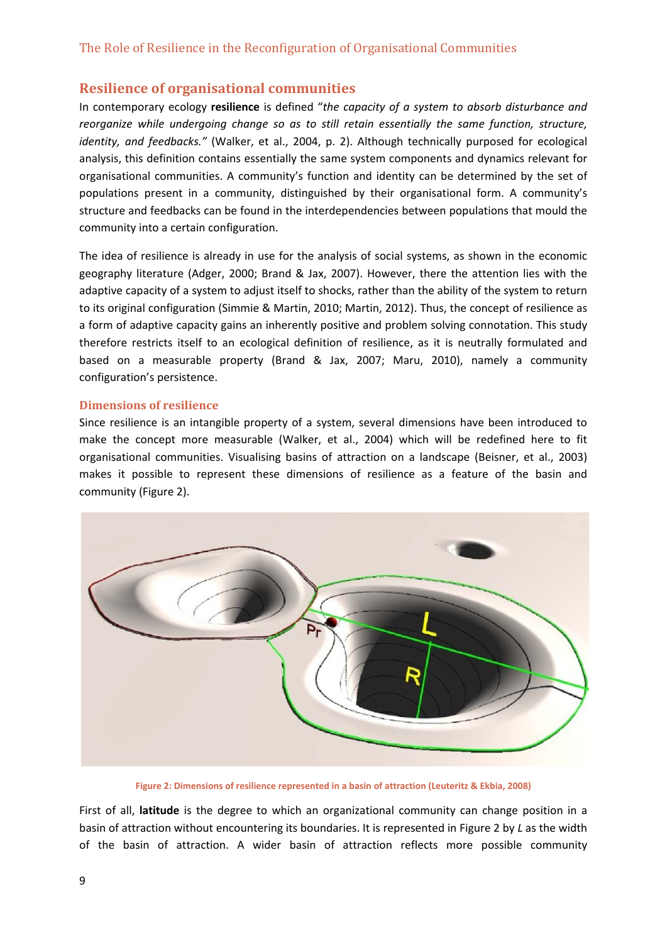## **Resilience of organisational communities**

In contemporary ecology **resilience** is defined "*the capacity of a system to absorb disturbance and reorganize while undergoing change so as to still retain essentially the same function, structure, identity, and feedbacks."* (Walker, et al., 2004, p. 2). Although technically purposed for ecological analysis, this definition contains essentially the same system components and dynamics relevant for organisational communities. A community's function and identity can be determined by the set of populations present in a community, distinguished by their organisational form. A community's structure and feedbacks can be found in the interdependencies between populations that mould the community into a certain configuration.

The idea of resilience is already in use for the analysis of social systems, as shown in the economic geography literature (Adger, 2000; Brand & Jax, 2007). However, there the attention lies with the adaptive capacity of a system to adjust itself to shocks, rather than the ability of the system to return to its original configuration (Simmie & Martin, 2010; Martin, 2012). Thus, the concept of resilience as a form of adaptive capacity gains an inherently positive and problem solving connotation. This study therefore restricts itself to an ecological definition of resilience, as it is neutrally formulated and based on a measurable property (Brand & Jax, 2007; Maru, 2010), namely a community configuration's persistence.

#### **Dimensions of resilience**

Since resilience is an intangible property of a system, several dimensions have been introduced to make the concept more measurable (Walker, et al., 2004) which will be redefined here to fit organisational communities. Visualising basins of attraction on a landscape (Beisner, et al., 2003) makes it possible to represent these dimensions of resilience as a feature of the basin and community (Figure 2).



**Figure 2: Dimensions of resilience represented in a basin of attraction (Leuteritz & Ekbia, 2008)**

First of all, **latitude** is the degree to which an organizational community can change position in a basin of attraction without encountering its boundaries. It is represented in Figure 2 by *L* as the width of the basin of attraction. A wider basin of attraction reflects more possible community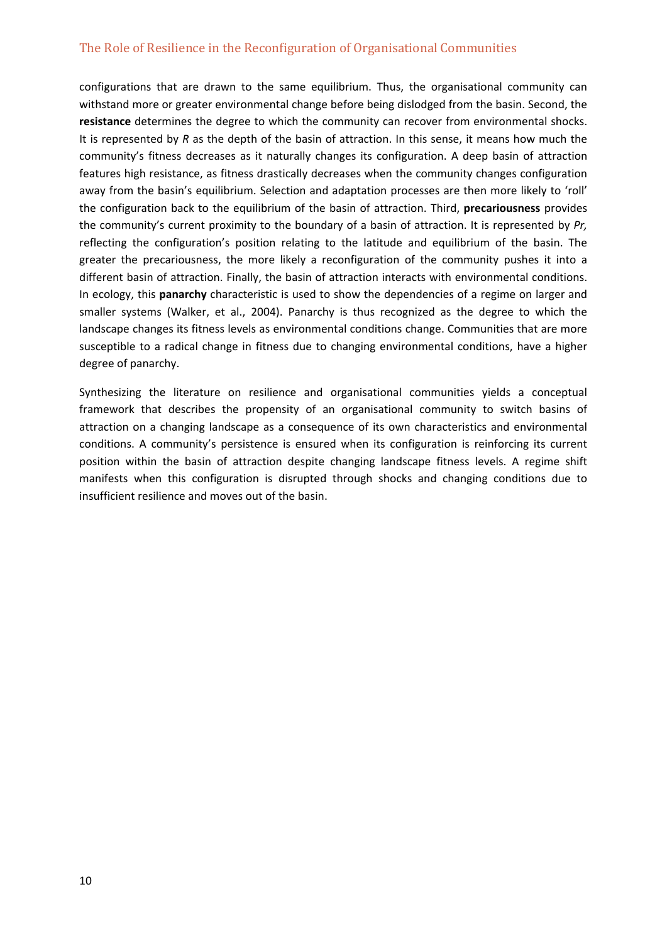configurations that are drawn to the same equilibrium. Thus, the organisational community can withstand more or greater environmental change before being dislodged from the basin. Second, the **resistance** determines the degree to which the community can recover from environmental shocks. It is represented by *R* as the depth of the basin of attraction. In this sense, it means how much the community's fitness decreases as it naturally changes its configuration. A deep basin of attraction features high resistance, as fitness drastically decreases when the community changes configuration away from the basin's equilibrium. Selection and adaptation processes are then more likely to 'roll' the configuration back to the equilibrium of the basin of attraction. Third, **precariousness** provides the community's current proximity to the boundary of a basin of attraction. It is represented by *Pr,* reflecting the configuration's position relating to the latitude and equilibrium of the basin. The greater the precariousness, the more likely a reconfiguration of the community pushes it into a different basin of attraction. Finally, the basin of attraction interacts with environmental conditions. In ecology, this **panarchy** characteristic is used to show the dependencies of a regime on larger and smaller systems (Walker, et al., 2004). Panarchy is thus recognized as the degree to which the landscape changes its fitness levels as environmental conditions change. Communities that are more susceptible to a radical change in fitness due to changing environmental conditions, have a higher degree of panarchy.

Synthesizing the literature on resilience and organisational communities yields a conceptual framework that describes the propensity of an organisational community to switch basins of attraction on a changing landscape as a consequence of its own characteristics and environmental conditions. A community's persistence is ensured when its configuration is reinforcing its current position within the basin of attraction despite changing landscape fitness levels. A regime shift manifests when this configuration is disrupted through shocks and changing conditions due to insufficient resilience and moves out of the basin.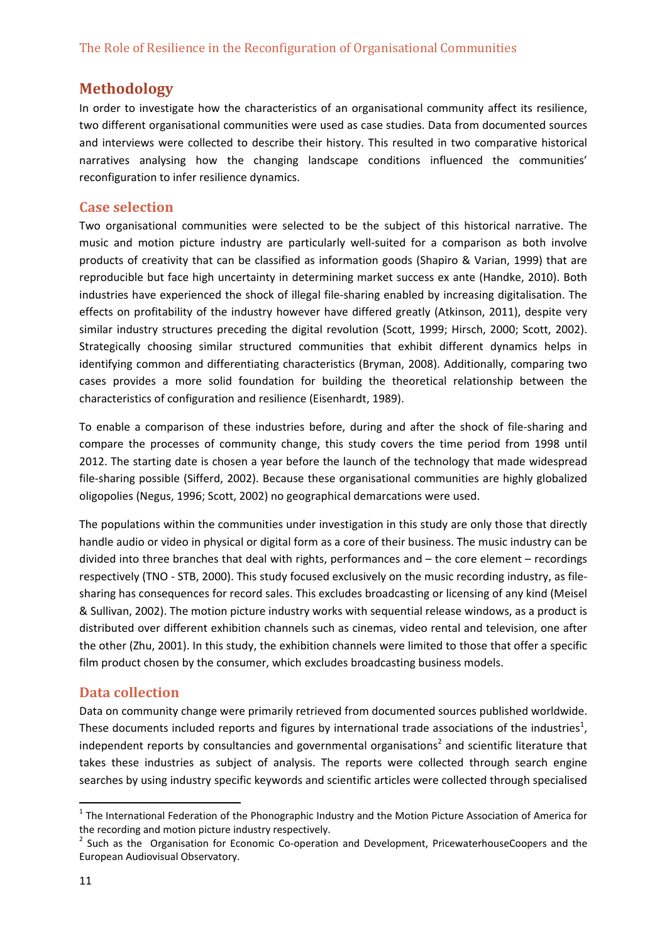## **Methodology**

In order to investigate how the characteristics of an organisational community affect its resilience, two different organisational communities were used as case studies. Data from documented sources and interviews were collected to describe their history. This resulted in two comparative historical narratives analysing how the changing landscape conditions influenced the communities' reconfiguration to infer resilience dynamics.

#### **Case selection**

Two organisational communities were selected to be the subject of this historical narrative. The music and motion picture industry are particularly well-suited for a comparison as both involve products of creativity that can be classified as information goods (Shapiro & Varian, 1999) that are reproducible but face high uncertainty in determining market success ex ante (Handke, 2010). Both industries have experienced the shock of illegal file‐sharing enabled by increasing digitalisation. The effects on profitability of the industry however have differed greatly (Atkinson, 2011), despite very similar industry structures preceding the digital revolution (Scott, 1999; Hirsch, 2000; Scott, 2002). Strategically choosing similar structured communities that exhibit different dynamics helps in identifying common and differentiating characteristics (Bryman, 2008). Additionally, comparing two cases provides a more solid foundation for building the theoretical relationship between the characteristics of configuration and resilience (Eisenhardt, 1989).

To enable a comparison of these industries before, during and after the shock of file‐sharing and compare the processes of community change, this study covers the time period from 1998 until 2012. The starting date is chosen a year before the launch of the technology that made widespread file‐sharing possible (Sifferd, 2002). Because these organisational communities are highly globalized oligopolies (Negus, 1996; Scott, 2002) no geographical demarcations were used.

The populations within the communities under investigation in this study are only those that directly handle audio or video in physical or digital form as a core of their business. The music industry can be divided into three branches that deal with rights, performances and – the core element – recordings respectively (TNO ‐ STB, 2000). This study focused exclusively on the music recording industry, as file‐ sharing has consequences for record sales. This excludes broadcasting or licensing of any kind (Meisel & Sullivan, 2002). The motion picture industry works with sequential release windows, as a product is distributed over different exhibition channels such as cinemas, video rental and television, one after the other (Zhu, 2001). In this study, the exhibition channels were limited to those that offer a specific film product chosen by the consumer, which excludes broadcasting business models.

## **Data collection**

Data on community change were primarily retrieved from documented sources published worldwide. These documents included reports and figures by international trade associations of the industries<sup>1</sup>, independent reports by consultancies and governmental organisations<sup>2</sup> and scientific literature that takes these industries as subject of analysis. The reports were collected through search engine searches by using industry specific keywords and scientific articles were collected through specialised

 $1$  The International Federation of the Phonographic Industry and the Motion Picture Association of America for the recording and motion picture industry respectively.<br><sup>2</sup> Such as the Organisation for Economic Co-operation and Development, PricewaterhouseCoopers and the

European Audiovisual Observatory.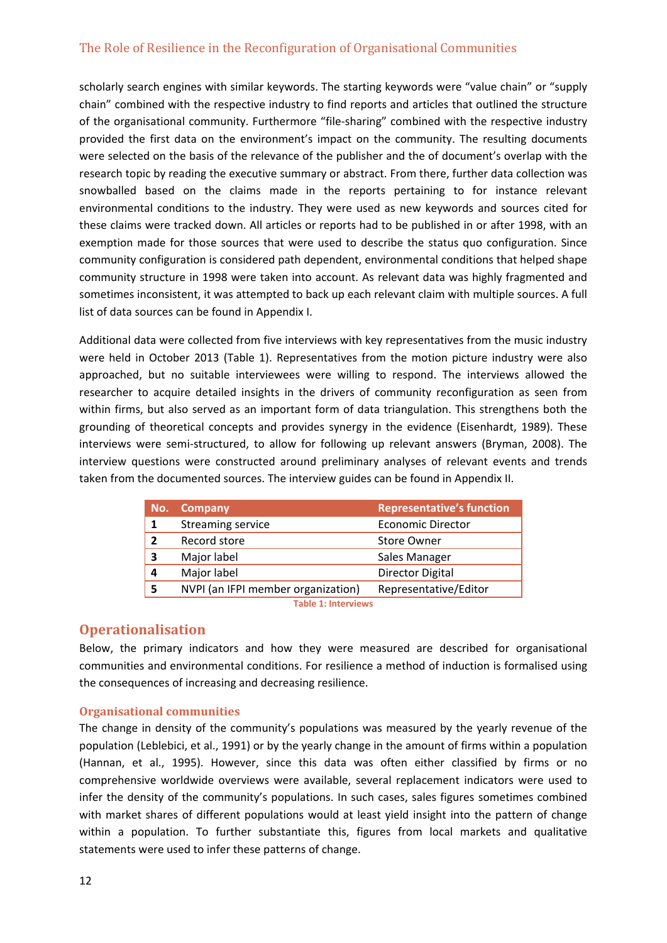scholarly search engines with similar keywords. The starting keywords were "value chain" or "supply chain" combined with the respective industry to find reports and articles that outlined the structure of the organisational community. Furthermore "file‐sharing" combined with the respective industry provided the first data on the environment's impact on the community. The resulting documents were selected on the basis of the relevance of the publisher and the of document's overlap with the research topic by reading the executive summary or abstract. From there, further data collection was snowballed based on the claims made in the reports pertaining to for instance relevant environmental conditions to the industry. They were used as new keywords and sources cited for these claims were tracked down. All articles or reports had to be published in or after 1998, with an exemption made for those sources that were used to describe the status quo configuration. Since community configuration is considered path dependent, environmental conditions that helped shape community structure in 1998 were taken into account. As relevant data was highly fragmented and sometimes inconsistent, it was attempted to back up each relevant claim with multiple sources. A full list of data sources can be found in Appendix I.

Additional data were collected from five interviews with key representatives from the music industry were held in October 2013 (Table 1). Representatives from the motion picture industry were also approached, but no suitable interviewees were willing to respond. The interviews allowed the researcher to acquire detailed insights in the drivers of community reconfiguration as seen from within firms, but also served as an important form of data triangulation. This strengthens both the grounding of theoretical concepts and provides synergy in the evidence (Eisenhardt, 1989). These interviews were semi‐structured, to allow for following up relevant answers (Bryman, 2008). The interview questions were constructed around preliminary analyses of relevant events and trends taken from the documented sources. The interview guides can be found in Appendix II.

| No. | <b>Representative's function</b><br><b>Company</b> |                         |
|-----|----------------------------------------------------|-------------------------|
|     | Streaming service                                  | Economic Director       |
| 2   | Record store                                       | <b>Store Owner</b>      |
| 3   | Major label                                        | Sales Manager           |
| 4   | Major label                                        | <b>Director Digital</b> |
| 5   | NVPI (an IFPI member organization)                 | Representative/Editor   |
|     |                                                    |                         |

**Table 1: Interviews**

#### **Operationalisation**

Below, the primary indicators and how they were measured are described for organisational communities and environmental conditions. For resilience a method of induction is formalised using the consequences of increasing and decreasing resilience.

#### **Organisational communities**

The change in density of the community's populations was measured by the yearly revenue of the population (Leblebici, et al., 1991) or by the yearly change in the amount of firms within a population (Hannan, et al., 1995). However, since this data was often either classified by firms or no comprehensive worldwide overviews were available, several replacement indicators were used to infer the density of the community's populations. In such cases, sales figures sometimes combined with market shares of different populations would at least yield insight into the pattern of change within a population. To further substantiate this, figures from local markets and qualitative statements were used to infer these patterns of change.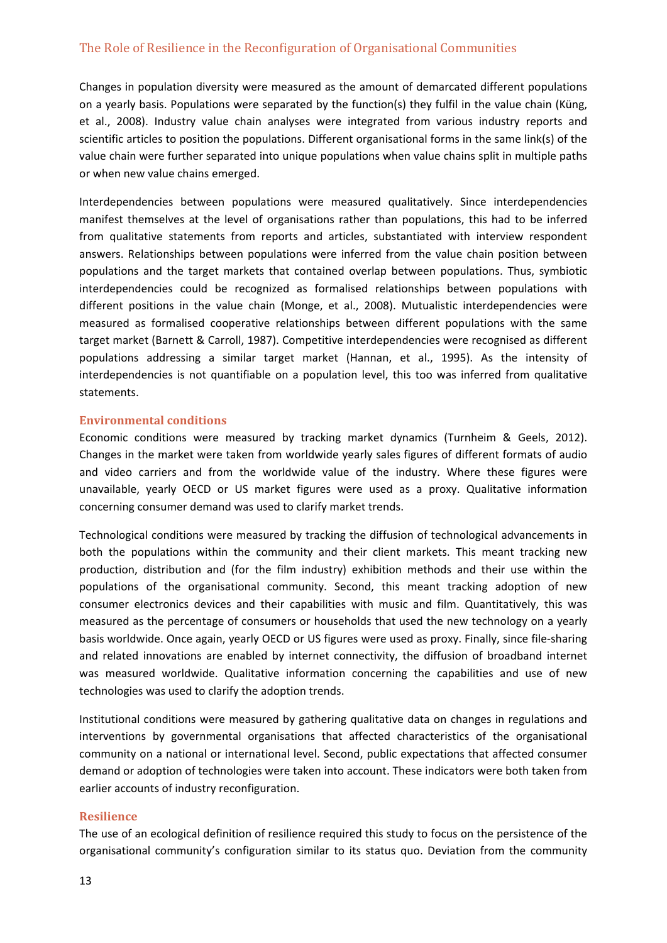Changes in population diversity were measured as the amount of demarcated different populations on a yearly basis. Populations were separated by the function(s) they fulfil in the value chain (Küng, et al., 2008). Industry value chain analyses were integrated from various industry reports and scientific articles to position the populations. Different organisational forms in the same link(s) of the value chain were further separated into unique populations when value chains split in multiple paths or when new value chains emerged.

Interdependencies between populations were measured qualitatively. Since interdependencies manifest themselves at the level of organisations rather than populations, this had to be inferred from qualitative statements from reports and articles, substantiated with interview respondent answers. Relationships between populations were inferred from the value chain position between populations and the target markets that contained overlap between populations. Thus, symbiotic interdependencies could be recognized as formalised relationships between populations with different positions in the value chain (Monge, et al., 2008). Mutualistic interdependencies were measured as formalised cooperative relationships between different populations with the same target market (Barnett & Carroll, 1987). Competitive interdependencies were recognised as different populations addressing a similar target market (Hannan, et al., 1995). As the intensity of interdependencies is not quantifiable on a population level, this too was inferred from qualitative statements.

#### **Environmental conditions**

Economic conditions were measured by tracking market dynamics (Turnheim & Geels, 2012). Changes in the market were taken from worldwide yearly sales figures of different formats of audio and video carriers and from the worldwide value of the industry. Where these figures were unavailable, yearly OECD or US market figures were used as a proxy. Qualitative information concerning consumer demand was used to clarify market trends.

Technological conditions were measured by tracking the diffusion of technological advancements in both the populations within the community and their client markets. This meant tracking new production, distribution and (for the film industry) exhibition methods and their use within the populations of the organisational community. Second, this meant tracking adoption of new consumer electronics devices and their capabilities with music and film. Quantitatively, this was measured as the percentage of consumers or households that used the new technology on a yearly basis worldwide. Once again, yearly OECD or US figures were used as proxy. Finally, since file‐sharing and related innovations are enabled by internet connectivity, the diffusion of broadband internet was measured worldwide. Qualitative information concerning the capabilities and use of new technologies was used to clarify the adoption trends.

Institutional conditions were measured by gathering qualitative data on changes in regulations and interventions by governmental organisations that affected characteristics of the organisational community on a national or international level. Second, public expectations that affected consumer demand or adoption of technologies were taken into account. These indicators were both taken from earlier accounts of industry reconfiguration.

#### **Resilience**

The use of an ecological definition of resilience required this study to focus on the persistence of the organisational community's configuration similar to its status quo. Deviation from the community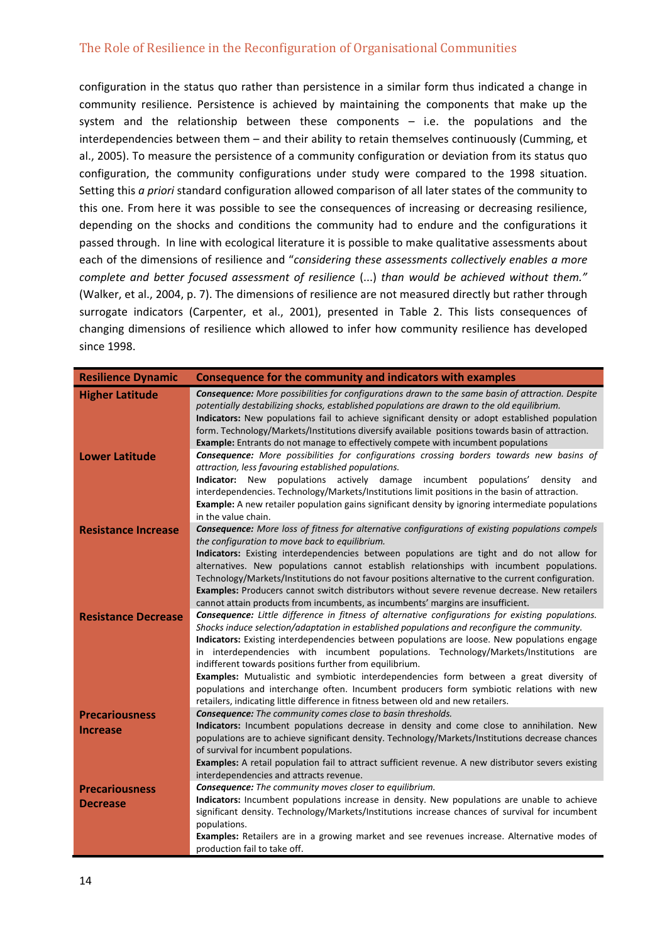configuration in the status quo rather than persistence in a similar form thus indicated a change in community resilience. Persistence is achieved by maintaining the components that make up the system and the relationship between these components – i.e. the populations and the interdependencies between them – and their ability to retain themselves continuously (Cumming, et al., 2005). To measure the persistence of a community configuration or deviation from its status quo configuration, the community configurations under study were compared to the 1998 situation. Setting this *a priori* standard configuration allowed comparison of all later states of the community to this one. From here it was possible to see the consequences of increasing or decreasing resilience, depending on the shocks and conditions the community had to endure and the configurations it passed through. In line with ecological literature it is possible to make qualitative assessments about each of the dimensions of resilience and "*considering these assessments collectively enables a more complete and better focused assessment of resilience* (...) *than would be achieved without them."* (Walker, et al., 2004, p. 7). The dimensions of resilience are not measured directly but rather through surrogate indicators (Carpenter, et al., 2001), presented in Table 2. This lists consequences of changing dimensions of resilience which allowed to infer how community resilience has developed since 1998.

| <b>Resilience Dynamic</b>  | Consequence for the community and indicators with examples                                                                                                                                                                                                                                                                                                                                                                                                                                                                                                                                                                                                                                                                       |
|----------------------------|----------------------------------------------------------------------------------------------------------------------------------------------------------------------------------------------------------------------------------------------------------------------------------------------------------------------------------------------------------------------------------------------------------------------------------------------------------------------------------------------------------------------------------------------------------------------------------------------------------------------------------------------------------------------------------------------------------------------------------|
| <b>Higher Latitude</b>     | Consequence: More possibilities for configurations drawn to the same basin of attraction. Despite<br>potentially destabilizing shocks, established populations are drawn to the old equilibrium.<br>Indicators: New populations fail to achieve significant density or adopt established population<br>form. Technology/Markets/Institutions diversify available positions towards basin of attraction.<br><b>Example:</b> Entrants do not manage to effectively compete with incumbent populations                                                                                                                                                                                                                              |
| <b>Lower Latitude</b>      | <b>Consequence:</b> More possibilities for configurations crossing borders towards new basins of<br>attraction, less favouring established populations.<br><b>Indicator:</b> New populations actively damage incumbent populations'<br>density<br>and<br>interdependencies. Technology/Markets/Institutions limit positions in the basin of attraction.<br>Example: A new retailer population gains significant density by ignoring intermediate populations<br>in the value chain.                                                                                                                                                                                                                                              |
| <b>Resistance Increase</b> | <b>Consequence:</b> More loss of fitness for alternative configurations of existing populations compels<br>the configuration to move back to equilibrium.<br>Indicators: Existing interdependencies between populations are tight and do not allow for<br>alternatives. New populations cannot establish relationships with incumbent populations.<br>Technology/Markets/Institutions do not favour positions alternative to the current configuration.<br>Examples: Producers cannot switch distributors without severe revenue decrease. New retailers<br>cannot attain products from incumbents, as incumbents' margins are insufficient.                                                                                     |
| <b>Resistance Decrease</b> | Consequence: Little difference in fitness of alternative configurations for existing populations.<br>Shocks induce selection/adaptation in established populations and reconfigure the community.<br>Indicators: Existing interdependencies between populations are loose. New populations engage<br>in interdependencies with incumbent populations. Technology/Markets/Institutions are<br>indifferent towards positions further from equilibrium.<br>Examples: Mutualistic and symbiotic interdependencies form between a great diversity of<br>populations and interchange often. Incumbent producers form symbiotic relations with new<br>retailers, indicating little difference in fitness between old and new retailers. |
| <b>Precariousness</b>      | Consequence: The community comes close to basin thresholds.                                                                                                                                                                                                                                                                                                                                                                                                                                                                                                                                                                                                                                                                      |
| <b>Increase</b>            | Indicators: Incumbent populations decrease in density and come close to annihilation. New<br>populations are to achieve significant density. Technology/Markets/Institutions decrease chances<br>of survival for incumbent populations.<br>Examples: A retail population fail to attract sufficient revenue. A new distributor severs existing<br>interdependencies and attracts revenue.                                                                                                                                                                                                                                                                                                                                        |
| <b>Precariousness</b>      | <b>Consequence:</b> The community moves closer to equilibrium.                                                                                                                                                                                                                                                                                                                                                                                                                                                                                                                                                                                                                                                                   |
| <b>Decrease</b>            | Indicators: Incumbent populations increase in density. New populations are unable to achieve<br>significant density. Technology/Markets/Institutions increase chances of survival for incumbent<br>populations.                                                                                                                                                                                                                                                                                                                                                                                                                                                                                                                  |
|                            | Examples: Retailers are in a growing market and see revenues increase. Alternative modes of<br>production fail to take off.                                                                                                                                                                                                                                                                                                                                                                                                                                                                                                                                                                                                      |
|                            |                                                                                                                                                                                                                                                                                                                                                                                                                                                                                                                                                                                                                                                                                                                                  |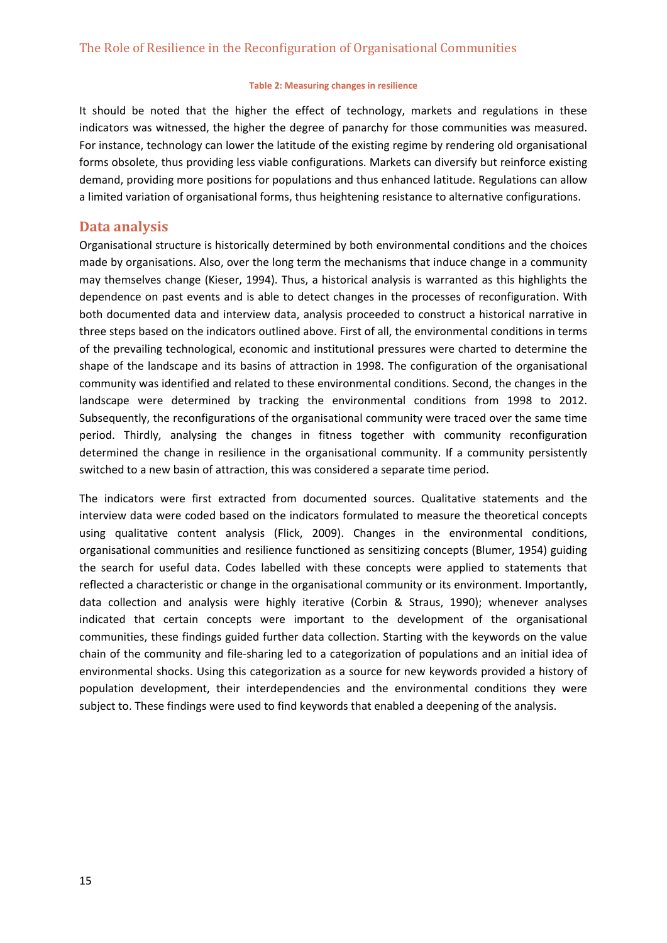#### **Table 2: Measuring changes in resilience**

It should be noted that the higher the effect of technology, markets and regulations in these indicators was witnessed, the higher the degree of panarchy for those communities was measured. For instance, technology can lower the latitude of the existing regime by rendering old organisational forms obsolete, thus providing less viable configurations. Markets can diversify but reinforce existing demand, providing more positions for populations and thus enhanced latitude. Regulations can allow a limited variation of organisational forms, thus heightening resistance to alternative configurations.

#### **Data analysis**

Organisational structure is historically determined by both environmental conditions and the choices made by organisations. Also, over the long term the mechanisms that induce change in a community may themselves change (Kieser, 1994). Thus, a historical analysis is warranted as this highlights the dependence on past events and is able to detect changes in the processes of reconfiguration. With both documented data and interview data, analysis proceeded to construct a historical narrative in three steps based on the indicators outlined above. First of all, the environmental conditions in terms of the prevailing technological, economic and institutional pressures were charted to determine the shape of the landscape and its basins of attraction in 1998. The configuration of the organisational community was identified and related to these environmental conditions. Second, the changes in the landscape were determined by tracking the environmental conditions from 1998 to 2012. Subsequently, the reconfigurations of the organisational community were traced over the same time period. Thirdly, analysing the changes in fitness together with community reconfiguration determined the change in resilience in the organisational community. If a community persistently switched to a new basin of attraction, this was considered a separate time period.

The indicators were first extracted from documented sources. Qualitative statements and the interview data were coded based on the indicators formulated to measure the theoretical concepts using qualitative content analysis (Flick, 2009). Changes in the environmental conditions, organisational communities and resilience functioned as sensitizing concepts (Blumer, 1954) guiding the search for useful data. Codes labelled with these concepts were applied to statements that reflected a characteristic or change in the organisational community or its environment. Importantly, data collection and analysis were highly iterative (Corbin & Straus, 1990); whenever analyses indicated that certain concepts were important to the development of the organisational communities, these findings guided further data collection. Starting with the keywords on the value chain of the community and file‐sharing led to a categorization of populations and an initial idea of environmental shocks. Using this categorization as a source for new keywords provided a history of population development, their interdependencies and the environmental conditions they were subject to. These findings were used to find keywords that enabled a deepening of the analysis.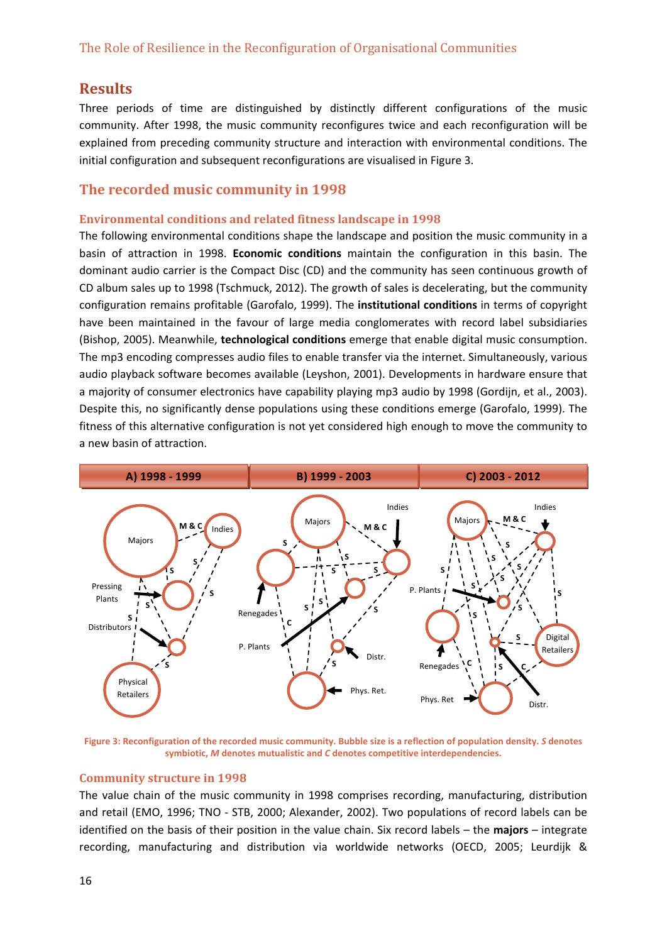# **Results**

Three periods of time are distinguished by distinctly different configurations of the music community. After 1998, the music community reconfigures twice and each reconfiguration will be explained from preceding community structure and interaction with environmental conditions. The initial configuration and subsequent reconfigurations are visualised in Figure 3.

## **The recorded music community in 1998**

#### **Environmental conditions and related fitness landscape in 1998**

The following environmental conditions shape the landscape and position the music community in a basin of attraction in 1998. **Economic conditions** maintain the configuration in this basin. The dominant audio carrier is the Compact Disc (CD) and the community has seen continuous growth of CD album sales up to 1998 (Tschmuck, 2012). The growth of sales is decelerating, but the community configuration remains profitable (Garofalo, 1999). The **institutional conditions** in terms of copyright have been maintained in the favour of large media conglomerates with record label subsidiaries (Bishop, 2005). Meanwhile, **technological conditions** emerge that enable digital music consumption. The mp3 encoding compresses audio files to enable transfer via the internet. Simultaneously, various audio playback software becomes available (Leyshon, 2001). Developments in hardware ensure that a majority of consumer electronics have capability playing mp3 audio by 1998 (Gordijn, et al., 2003). Despite this, no significantly dense populations using these conditions emerge (Garofalo, 1999). The fitness of this alternative configuration is not yet considered high enough to move the community to a new basin of attraction.



Figure 3: Reconfiguration of the recorded music community. Bubble size is a reflection of population density. S denotes **symbiotic,** *M* **denotes mutualistic and** *C* **denotes competitive interdependencies.**

#### **Community structure in 1998**

The value chain of the music community in 1998 comprises recording, manufacturing, distribution and retail (EMO, 1996; TNO ‐ STB, 2000; Alexander, 2002). Two populations of record labels can be identified on the basis of their position in the value chain. Six record labels – the **majors** – integrate recording, manufacturing and distribution via worldwide networks (OECD, 2005; Leurdijk &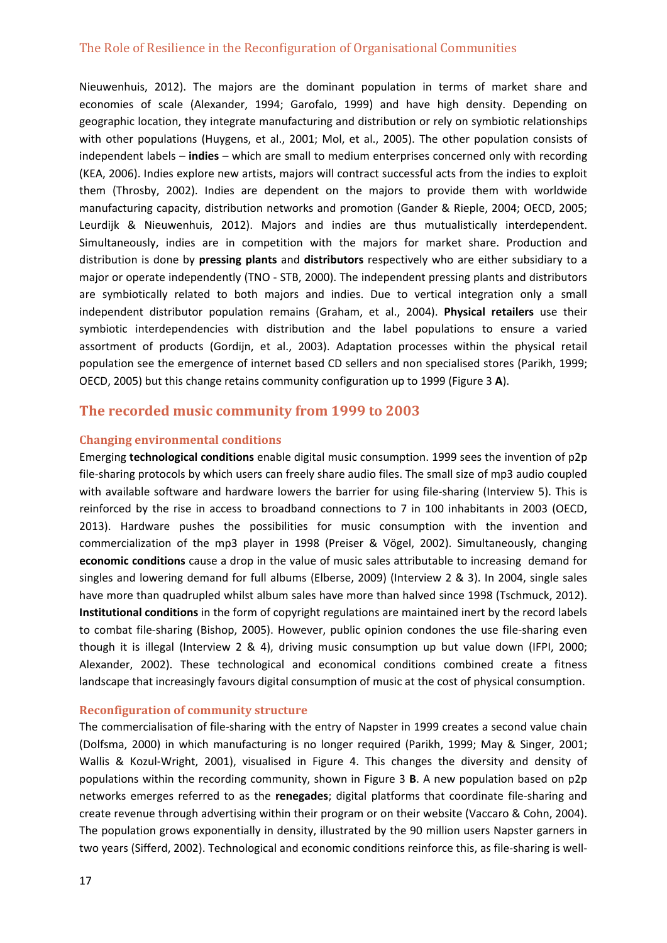Nieuwenhuis, 2012). The majors are the dominant population in terms of market share and economies of scale (Alexander, 1994; Garofalo, 1999) and have high density. Depending on geographic location, they integrate manufacturing and distribution or rely on symbiotic relationships with other populations (Huygens, et al., 2001; Mol, et al., 2005). The other population consists of independent labels – **indies** – which are small to medium enterprises concerned only with recording (KEA, 2006). Indies explore new artists, majors will contract successful acts from the indies to exploit them (Throsby, 2002). Indies are dependent on the majors to provide them with worldwide manufacturing capacity, distribution networks and promotion (Gander & Rieple, 2004; OECD, 2005; Leurdijk & Nieuwenhuis, 2012). Majors and indies are thus mutualistically interdependent. Simultaneously, indies are in competition with the majors for market share. Production and distribution is done by **pressing plants** and **distributors** respectively who are either subsidiary to a major or operate independently (TNO ‐ STB, 2000). The independent pressing plants and distributors are symbiotically related to both majors and indies. Due to vertical integration only a small independent distributor population remains (Graham, et al., 2004). **Physical retailers** use their symbiotic interdependencies with distribution and the label populations to ensure a varied assortment of products (Gordijn, et al., 2003). Adaptation processes within the physical retail population see the emergence of internet based CD sellers and non specialised stores (Parikh, 1999; OECD, 2005) but this change retains community configuration up to 1999 (Figure 3 **A**).

## **The recorded music community from 1999 to 2003**

#### **Changing environmental conditions**

Emerging **technological conditions** enable digital music consumption. 1999 sees the invention of p2p file‐sharing protocols by which users can freely share audio files. The small size of mp3 audio coupled with available software and hardware lowers the barrier for using file-sharing (Interview 5). This is reinforced by the rise in access to broadband connections to 7 in 100 inhabitants in 2003 (OECD, 2013). Hardware pushes the possibilities for music consumption with the invention and commercialization of the mp3 player in 1998 (Preiser & Vögel, 2002). Simultaneously, changing **economic conditions** cause a drop in the value of music sales attributable to increasing demand for singles and lowering demand for full albums (Elberse, 2009) (Interview 2 & 3). In 2004, single sales have more than quadrupled whilst album sales have more than halved since 1998 (Tschmuck, 2012). **Institutional conditions** in the form of copyright regulations are maintained inert by the record labels to combat file‐sharing (Bishop, 2005). However, public opinion condones the use file‐sharing even though it is illegal (Interview 2 & 4), driving music consumption up but value down (IFPI, 2000; Alexander, 2002). These technological and economical conditions combined create a fitness landscape that increasingly favours digital consumption of music at the cost of physical consumption.

#### **Reconfiguration of community structure**

The commercialisation of file-sharing with the entry of Napster in 1999 creates a second value chain (Dolfsma, 2000) in which manufacturing is no longer required (Parikh, 1999; May & Singer, 2001; Wallis & Kozul-Wright, 2001), visualised in Figure 4. This changes the diversity and density of populations within the recording community, shown in Figure 3 **B**. A new population based on p2p networks emerges referred to as the **renegades**; digital platforms that coordinate file‐sharing and create revenue through advertising within their program or on their website (Vaccaro & Cohn, 2004). The population grows exponentially in density, illustrated by the 90 million users Napster garners in two years (Sifferd, 2002). Technological and economic conditions reinforce this, as file-sharing is well-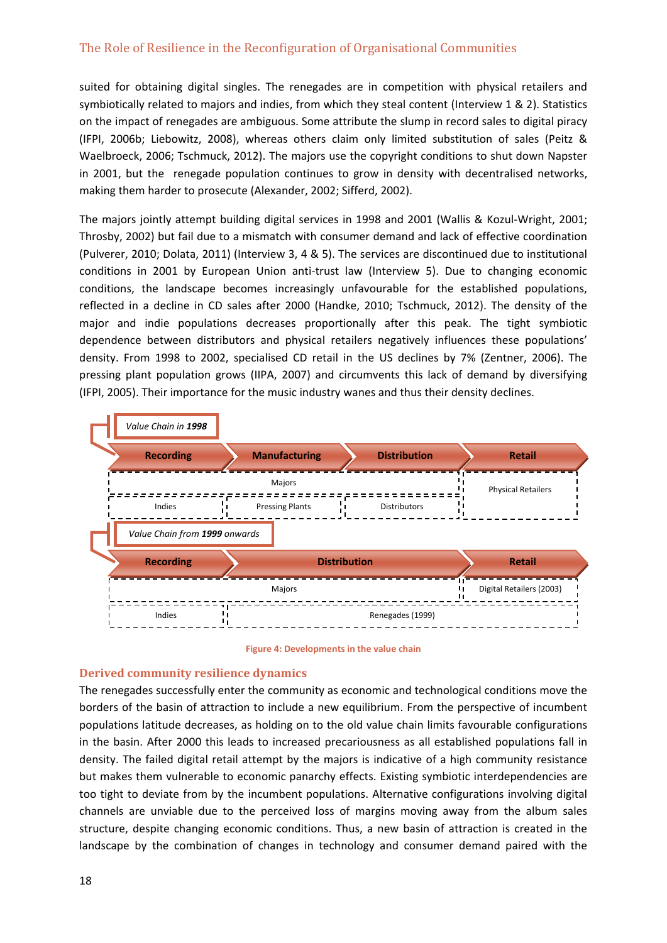suited for obtaining digital singles. The renegades are in competition with physical retailers and symbiotically related to majors and indies, from which they steal content (Interview 1 & 2). Statistics on the impact of renegades are ambiguous. Some attribute the slump in record sales to digital piracy (IFPI, 2006b; Liebowitz, 2008), whereas others claim only limited substitution of sales (Peitz & Waelbroeck, 2006; Tschmuck, 2012). The majors use the copyright conditions to shut down Napster in 2001, but the renegade population continues to grow in density with decentralised networks, making them harder to prosecute (Alexander, 2002; Sifferd, 2002).

The majors jointly attempt building digital services in 1998 and 2001 (Wallis & Kozul‐Wright, 2001; Throsby, 2002) but fail due to a mismatch with consumer demand and lack of effective coordination (Pulverer, 2010; Dolata, 2011) (Interview 3, 4 & 5). The services are discontinued due to institutional conditions in 2001 by European Union anti-trust law (Interview 5). Due to changing economic conditions, the landscape becomes increasingly unfavourable for the established populations, reflected in a decline in CD sales after 2000 (Handke, 2010; Tschmuck, 2012). The density of the major and indie populations decreases proportionally after this peak. The tight symbiotic dependence between distributors and physical retailers negatively influences these populations' density. From 1998 to 2002, specialised CD retail in the US declines by 7% (Zentner, 2006). The pressing plant population grows (IIPA, 2007) and circumvents this lack of demand by diversifying (IFPI, 2005). Their importance for the music industry wanes and thus their density declines.



**Figure 4: Developments in the value chain**

#### **Derived community resilience dynamics**

The renegades successfully enter the community as economic and technological conditions move the borders of the basin of attraction to include a new equilibrium. From the perspective of incumbent populations latitude decreases, as holding on to the old value chain limits favourable configurations in the basin. After 2000 this leads to increased precariousness as all established populations fall in density. The failed digital retail attempt by the majors is indicative of a high community resistance but makes them vulnerable to economic panarchy effects. Existing symbiotic interdependencies are too tight to deviate from by the incumbent populations. Alternative configurations involving digital channels are unviable due to the perceived loss of margins moving away from the album sales structure, despite changing economic conditions. Thus, a new basin of attraction is created in the landscape by the combination of changes in technology and consumer demand paired with the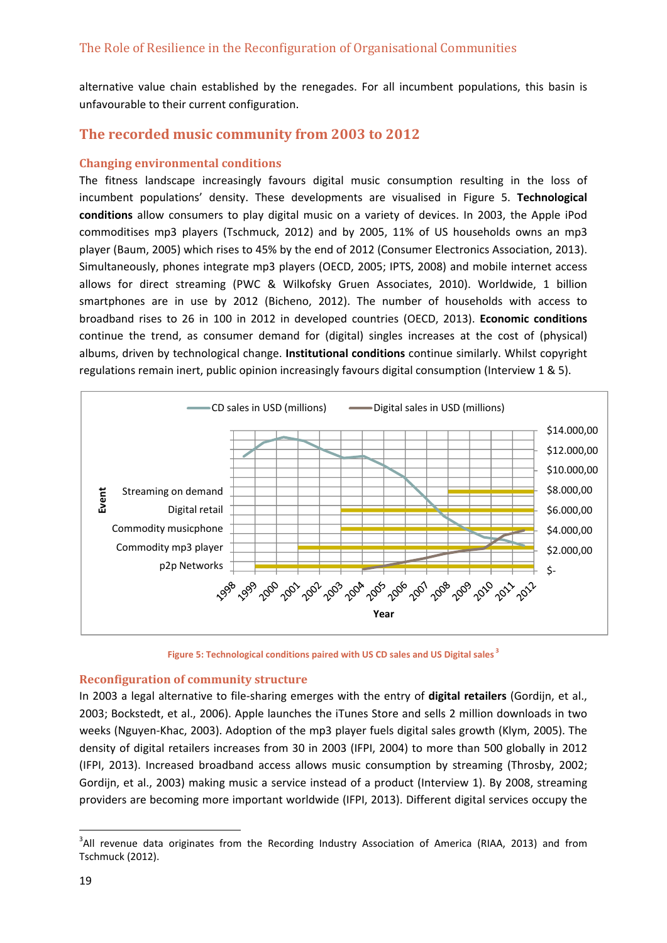alternative value chain established by the renegades. For all incumbent populations, this basin is unfavourable to their current configuration.

## **The recorded music community from 2003 to 2012**

#### **Changing environmental conditions**

The fitness landscape increasingly favours digital music consumption resulting in the loss of incumbent populations' density. These developments are visualised in Figure 5. **Technological conditions** allow consumers to play digital music on a variety of devices. In 2003, the Apple iPod commoditises mp3 players (Tschmuck, 2012) and by 2005, 11% of US households owns an mp3 player (Baum, 2005) which rises to 45% by the end of 2012 (Consumer Electronics Association, 2013). Simultaneously, phones integrate mp3 players (OECD, 2005; IPTS, 2008) and mobile internet access allows for direct streaming (PWC & Wilkofsky Gruen Associates, 2010). Worldwide, 1 billion smartphones are in use by 2012 (Bicheno, 2012). The number of households with access to broadband rises to 26 in 100 in 2012 in developed countries (OECD, 2013). **Economic conditions** continue the trend, as consumer demand for (digital) singles increases at the cost of (physical) albums, driven by technological change. **Institutional conditions** continue similarly. Whilst copyright regulations remain inert, public opinion increasingly favours digital consumption (Interview 1 & 5).



**Figure 5: Technological conditions paired with US CD sales and US Digital sales <sup>3</sup>**

#### **Reconfiguration of community structure**

In 2003 a legal alternative to file‐sharing emerges with the entry of **digital retailers** (Gordijn, et al., 2003; Bockstedt, et al., 2006). Apple launches the iTunes Store and sells 2 million downloads in two weeks (Nguyen‐Khac, 2003). Adoption of the mp3 player fuels digital sales growth (Klym, 2005). The density of digital retailers increases from 30 in 2003 (IFPI, 2004) to more than 500 globally in 2012 (IFPI, 2013). Increased broadband access allows music consumption by streaming (Throsby, 2002; Gordijn, et al., 2003) making music a service instead of a product (Interview 1). By 2008, streaming providers are becoming more important worldwide (IFPI, 2013). Different digital services occupy the

 <sup>3</sup>All revenue data originates from the Recording Industry Association of America (RIAA, 2013) and from Tschmuck (2012).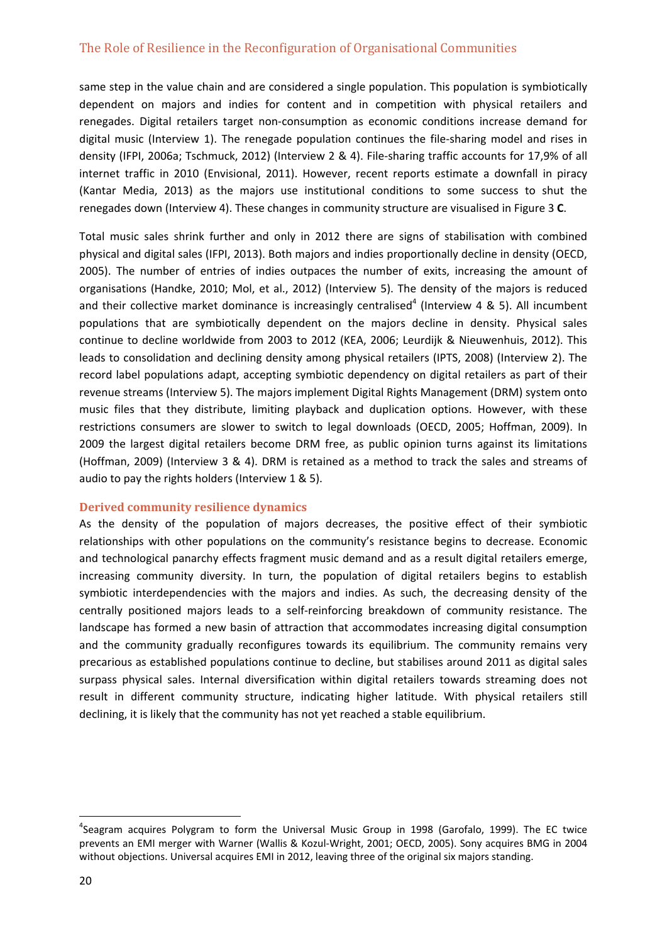same step in the value chain and are considered a single population. This population is symbiotically dependent on majors and indies for content and in competition with physical retailers and renegades. Digital retailers target non‐consumption as economic conditions increase demand for digital music (Interview 1). The renegade population continues the file‐sharing model and rises in density (IFPI, 2006a; Tschmuck, 2012) (Interview 2 & 4). File‐sharing traffic accounts for 17,9% of all internet traffic in 2010 (Envisional, 2011). However, recent reports estimate a downfall in piracy (Kantar Media, 2013) as the majors use institutional conditions to some success to shut the renegades down (Interview 4). These changes in community structure are visualised in Figure 3 **C**.

Total music sales shrink further and only in 2012 there are signs of stabilisation with combined physical and digital sales (IFPI, 2013). Both majors and indies proportionally decline in density (OECD, 2005). The number of entries of indies outpaces the number of exits, increasing the amount of organisations (Handke, 2010; Mol, et al., 2012) (Interview 5). The density of the majors is reduced and their collective market dominance is increasingly centralised<sup>4</sup> (Interview 4 & 5). All incumbent populations that are symbiotically dependent on the majors decline in density. Physical sales continue to decline worldwide from 2003 to 2012 (KEA, 2006; Leurdijk & Nieuwenhuis, 2012). This leads to consolidation and declining density among physical retailers (IPTS, 2008) (Interview 2). The record label populations adapt, accepting symbiotic dependency on digital retailers as part of their revenue streams (Interview 5). The majors implement Digital Rights Management (DRM) system onto music files that they distribute, limiting playback and duplication options. However, with these restrictions consumers are slower to switch to legal downloads (OECD, 2005; Hoffman, 2009). In 2009 the largest digital retailers become DRM free, as public opinion turns against its limitations (Hoffman, 2009) (Interview 3 & 4). DRM is retained as a method to track the sales and streams of audio to pay the rights holders (Interview 1 & 5).

#### **Derived community resilience dynamics**

As the density of the population of majors decreases, the positive effect of their symbiotic relationships with other populations on the community's resistance begins to decrease. Economic and technological panarchy effects fragment music demand and as a result digital retailers emerge, increasing community diversity. In turn, the population of digital retailers begins to establish symbiotic interdependencies with the majors and indies. As such, the decreasing density of the centrally positioned majors leads to a self‐reinforcing breakdown of community resistance. The landscape has formed a new basin of attraction that accommodates increasing digital consumption and the community gradually reconfigures towards its equilibrium. The community remains very precarious as established populations continue to decline, but stabilises around 2011 as digital sales surpass physical sales. Internal diversification within digital retailers towards streaming does not result in different community structure, indicating higher latitude. With physical retailers still declining, it is likely that the community has not yet reached a stable equilibrium.

<sup>&</sup>lt;sup>4</sup>Seagram acquires Polygram to form the Universal Music Group in 1998 (Garofalo, 1999). The EC twice prevents an EMI merger with Warner (Wallis & Kozul‐Wright, 2001; OECD, 2005). Sony acquires BMG in 2004 without objections. Universal acquires EMI in 2012, leaving three of the original six majors standing.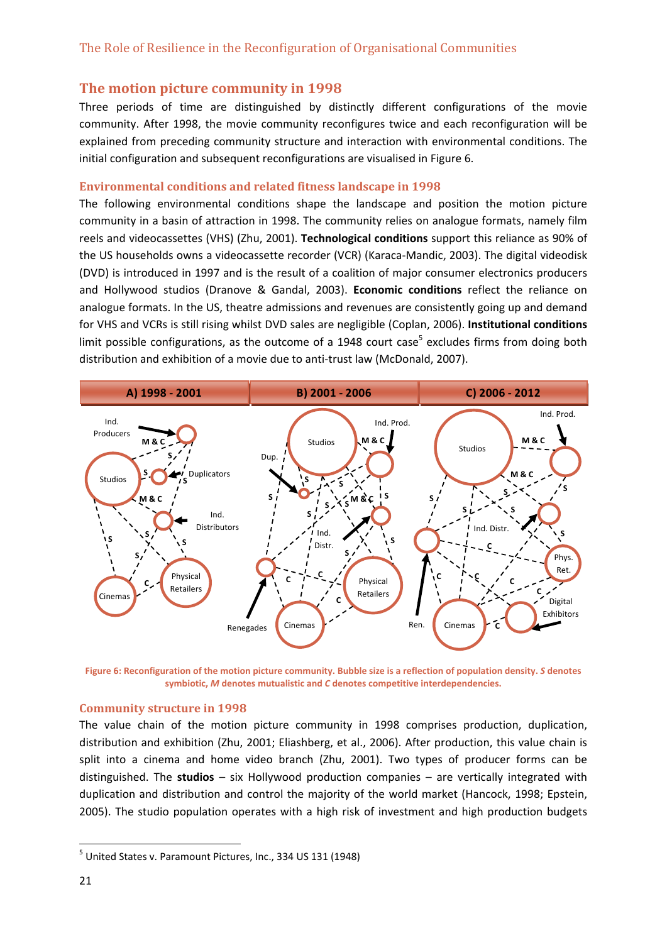#### **The motion picture community in 1998**

Three periods of time are distinguished by distinctly different configurations of the movie community. After 1998, the movie community reconfigures twice and each reconfiguration will be explained from preceding community structure and interaction with environmental conditions. The initial configuration and subsequent reconfigurations are visualised in Figure 6.

#### **Environmental conditions and related fitness landscape in 1998**

The following environmental conditions shape the landscape and position the motion picture community in a basin of attraction in 1998. The community relies on analogue formats, namely film reels and videocassettes (VHS) (Zhu, 2001). **Technological conditions** support this reliance as 90% of the US households owns a videocassette recorder (VCR) (Karaca‐Mandic, 2003). The digital videodisk (DVD) is introduced in 1997 and is the result of a coalition of major consumer electronics producers and Hollywood studios (Dranove & Gandal, 2003). **Economic conditions** reflect the reliance on analogue formats. In the US, theatre admissions and revenues are consistently going up and demand for VHS and VCRs is still rising whilst DVD sales are negligible (Coplan, 2006). **Institutional conditions** limit possible configurations, as the outcome of a 1948 court case<sup>5</sup> excludes firms from doing both distribution and exhibition of a movie due to anti‐trust law (McDonald, 2007).



Figure 6: Reconfiguration of the motion picture community. Bubble size is a reflection of population density. S denotes **symbiotic,** *M* **denotes mutualistic and** *C* **denotes competitive interdependencies.**

#### **Community structure in 1998**

The value chain of the motion picture community in 1998 comprises production, duplication, distribution and exhibition (Zhu, 2001; Eliashberg, et al., 2006). After production, this value chain is split into a cinema and home video branch (Zhu, 2001). Two types of producer forms can be distinguished. The **studios** – six Hollywood production companies – are vertically integrated with duplication and distribution and control the majority of the world market (Hancock, 1998; Epstein, 2005). The studio population operates with a high risk of investment and high production budgets

 $<sup>5</sup>$  United States v. Paramount Pictures, Inc., 334 US 131 (1948)</sup>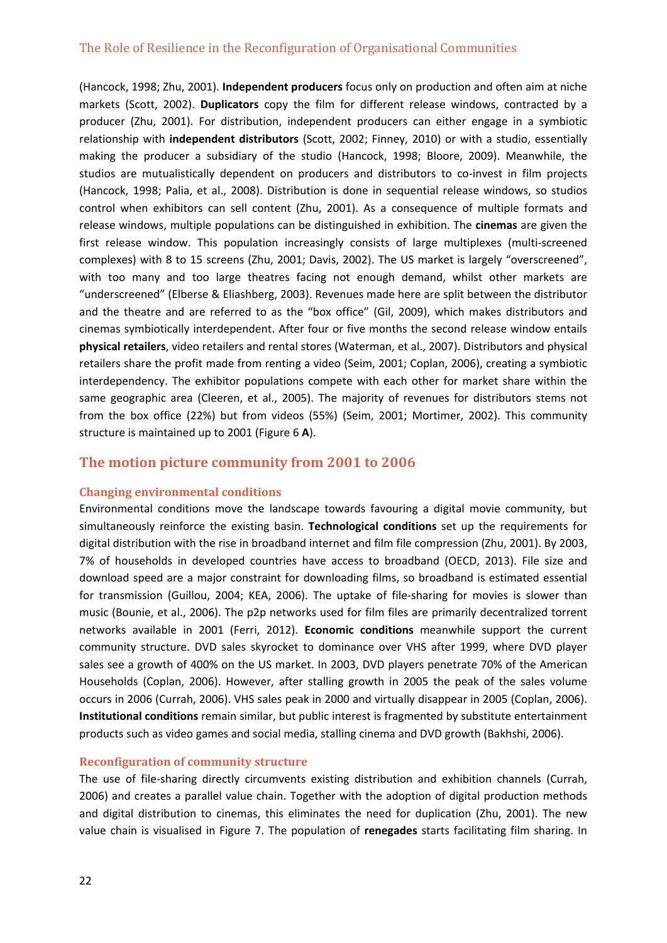(Hancock, 1998; Zhu, 2001). **Independent producers** focus only on production and often aim at niche markets (Scott, 2002). **Duplicators** copy the film for different release windows, contracted by a producer (Zhu, 2001). For distribution, independent producers can either engage in a symbiotic relationship with **independent distributors** (Scott, 2002; Finney, 2010) or with a studio, essentially making the producer a subsidiary of the studio (Hancock, 1998; Bloore, 2009). Meanwhile, the studios are mutualistically dependent on producers and distributors to co-invest in film projects (Hancock, 1998; Palia, et al., 2008). Distribution is done in sequential release windows, so studios control when exhibitors can sell content (Zhu, 2001). As a consequence of multiple formats and release windows, multiple populations can be distinguished in exhibition. The **cinemas** are given the first release window. This population increasingly consists of large multiplexes (multi-screened complexes) with 8 to 15 screens (Zhu, 2001; Davis, 2002). The US market is largely "overscreened", with too many and too large theatres facing not enough demand, whilst other markets are "underscreened" (Elberse & Eliashberg, 2003). Revenues made here are split between the distributor and the theatre and are referred to as the "box office" (Gil, 2009), which makes distributors and cinemas symbiotically interdependent. After four or five months the second release window entails **physical retailers**, video retailers and rental stores (Waterman, et al., 2007). Distributors and physical retailers share the profit made from renting a video (Seim, 2001; Coplan, 2006), creating a symbiotic interdependency. The exhibitor populations compete with each other for market share within the same geographic area (Cleeren, et al., 2005). The majority of revenues for distributors stems not from the box office (22%) but from videos (55%) (Seim, 2001; Mortimer, 2002). This community structure is maintained up to 2001 (Figure 6 **A**).

#### **The motion picture community from 2001 to 2006**

#### **Changing environmental conditions**

Environmental conditions move the landscape towards favouring a digital movie community, but simultaneously reinforce the existing basin. **Technological conditions** set up the requirements for digital distribution with the rise in broadband internet and film file compression (Zhu, 2001). By 2003, 7% of households in developed countries have access to broadband (OECD, 2013). File size and download speed are a major constraint for downloading films, so broadband is estimated essential for transmission (Guillou, 2004; KEA, 2006). The uptake of file-sharing for movies is slower than music (Bounie, et al., 2006). The p2p networks used for film files are primarily decentralized torrent networks available in 2001 (Ferri, 2012). **Economic conditions** meanwhile support the current community structure. DVD sales skyrocket to dominance over VHS after 1999, where DVD player sales see a growth of 400% on the US market. In 2003, DVD players penetrate 70% of the American Households (Coplan, 2006). However, after stalling growth in 2005 the peak of the sales volume occurs in 2006 (Currah, 2006). VHS sales peak in 2000 and virtually disappear in 2005 (Coplan, 2006). **Institutional conditions** remain similar, but public interest is fragmented by substitute entertainment products such as video games and social media, stalling cinema and DVD growth (Bakhshi, 2006).

#### **Reconfiguration of community structure**

The use of file-sharing directly circumvents existing distribution and exhibition channels (Currah, 2006) and creates a parallel value chain. Together with the adoption of digital production methods and digital distribution to cinemas, this eliminates the need for duplication (Zhu, 2001). The new value chain is visualised in Figure 7. The population of **renegades** starts facilitating film sharing. In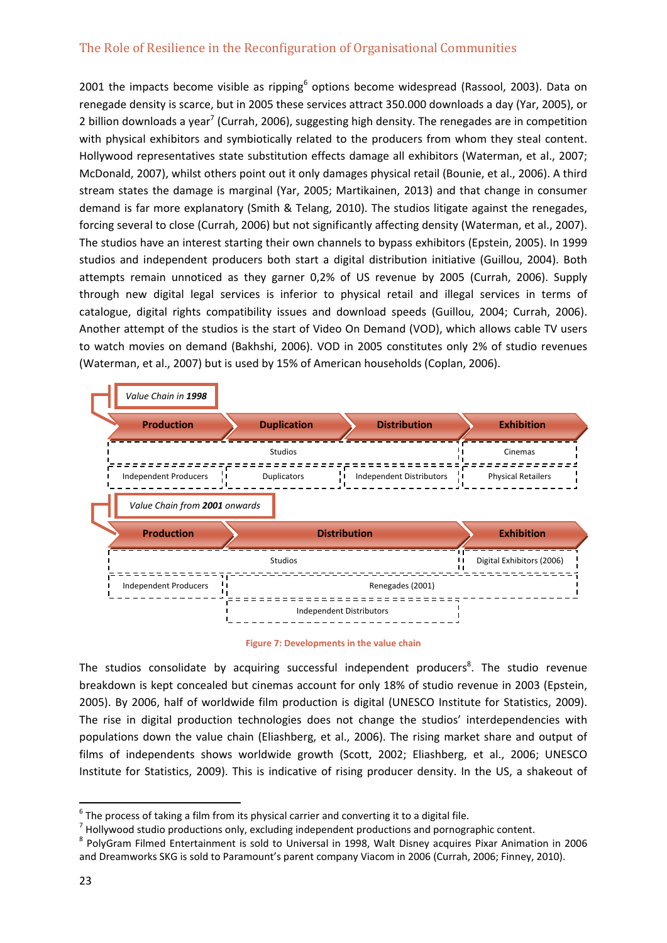2001 the impacts become visible as ripping<sup>6</sup> options become widespread (Rassool, 2003). Data on renegade density is scarce, but in 2005 these services attract 350.000 downloads a day (Yar, 2005), or 2 billion downloads a year<sup>7</sup> (Currah, 2006), suggesting high density. The renegades are in competition with physical exhibitors and symbiotically related to the producers from whom they steal content. Hollywood representatives state substitution effects damage all exhibitors (Waterman, et al., 2007; McDonald, 2007), whilst others point out it only damages physical retail (Bounie, et al., 2006). A third stream states the damage is marginal (Yar, 2005; Martikainen, 2013) and that change in consumer demand is far more explanatory (Smith & Telang, 2010). The studios litigate against the renegades, forcing several to close (Currah, 2006) but not significantly affecting density (Waterman, et al., 2007). The studios have an interest starting their own channels to bypass exhibitors (Epstein, 2005). In 1999 studios and independent producers both start a digital distribution initiative (Guillou, 2004). Both attempts remain unnoticed as they garner 0,2% of US revenue by 2005 (Currah, 2006). Supply through new digital legal services is inferior to physical retail and illegal services in terms of catalogue, digital rights compatibility issues and download speeds (Guillou, 2004; Currah, 2006). Another attempt of the studios is the start of Video On Demand (VOD), which allows cable TV users to watch movies on demand (Bakhshi, 2006). VOD in 2005 constitutes only 2% of studio revenues (Waterman, et al., 2007) but is used by 15% of American households (Coplan, 2006).

|  | Value Chain in 1998           |                    |                                 |  |                           |  |
|--|-------------------------------|--------------------|---------------------------------|--|---------------------------|--|
|  | <b>Production</b>             | <b>Duplication</b> | <b>Distribution</b>             |  | <b>Exhibition</b>         |  |
|  |                               | <b>Studios</b>     |                                 |  | Cinemas                   |  |
|  | <b>Independent Producers</b>  | <b>Duplicators</b> | Independent Distributors        |  | <b>Physical Retailers</b> |  |
|  | Value Chain from 2001 onwards |                    |                                 |  |                           |  |
|  | <b>Production</b>             |                    | <b>Distribution</b>             |  | <b>Exhibition</b>         |  |
|  |                               | <b>Studios</b>     |                                 |  | Digital Exhibitors (2006) |  |
|  | <b>Independent Producers</b>  | Renegades (2001)   |                                 |  |                           |  |
|  |                               |                    | <b>Independent Distributors</b> |  |                           |  |

**Figure 7: Developments in the value chain**

The studios consolidate by acquiring successful independent producers<sup>8</sup>. The studio revenue breakdown is kept concealed but cinemas account for only 18% of studio revenue in 2003 (Epstein, 2005). By 2006, half of worldwide film production is digital (UNESCO Institute for Statistics, 2009). The rise in digital production technologies does not change the studios' interdependencies with populations down the value chain (Eliashberg, et al., 2006). The rising market share and output of films of independents shows worldwide growth (Scott, 2002; Eliashberg, et al., 2006; UNESCO Institute for Statistics, 2009). This is indicative of rising producer density. In the US, a shakeout of

<sup>&</sup>lt;sup>6</sup> The process of taking a film from its physical carrier and converting it to a digital file.<br><sup>7</sup> Hollywood studio productions only, excluding independent productions and pornographic content.<br><sup>8</sup> PolyGram Filmed Entert and Dreamworks SKG is sold to Paramount's parent company Viacom in 2006 (Currah, 2006; Finney, 2010).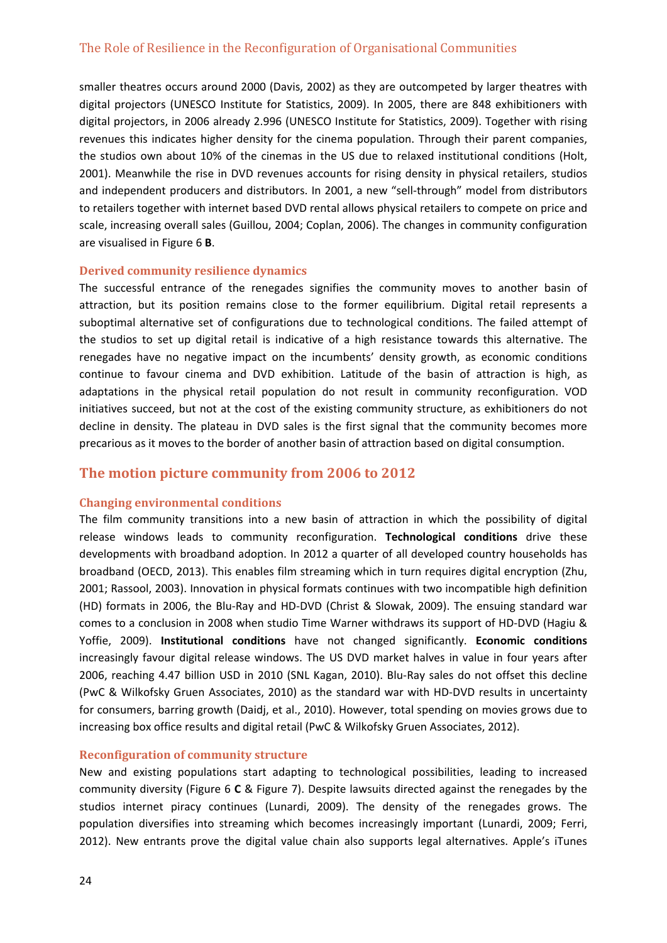smaller theatres occurs around 2000 (Davis, 2002) as they are outcompeted by larger theatres with digital projectors (UNESCO Institute for Statistics, 2009). In 2005, there are 848 exhibitioners with digital projectors, in 2006 already 2.996 (UNESCO Institute for Statistics, 2009). Together with rising revenues this indicates higher density for the cinema population. Through their parent companies, the studios own about 10% of the cinemas in the US due to relaxed institutional conditions (Holt, 2001). Meanwhile the rise in DVD revenues accounts for rising density in physical retailers, studios and independent producers and distributors. In 2001, a new "sell-through" model from distributors to retailers together with internet based DVD rental allows physical retailers to compete on price and scale, increasing overall sales (Guillou, 2004; Coplan, 2006). The changes in community configuration are visualised in Figure 6 **B**.

#### **Derived community resilience dynamics**

The successful entrance of the renegades signifies the community moves to another basin of attraction, but its position remains close to the former equilibrium. Digital retail represents a suboptimal alternative set of configurations due to technological conditions. The failed attempt of the studios to set up digital retail is indicative of a high resistance towards this alternative. The renegades have no negative impact on the incumbents' density growth, as economic conditions continue to favour cinema and DVD exhibition. Latitude of the basin of attraction is high, as adaptations in the physical retail population do not result in community reconfiguration. VOD initiatives succeed, but not at the cost of the existing community structure, as exhibitioners do not decline in density. The plateau in DVD sales is the first signal that the community becomes more precarious as it moves to the border of another basin of attraction based on digital consumption.

## **The motion picture community from 2006 to 2012**

#### **Changing environmental conditions**

The film community transitions into a new basin of attraction in which the possibility of digital release windows leads to community reconfiguration. **Technological conditions** drive these developments with broadband adoption. In 2012 a quarter of all developed country households has broadband (OECD, 2013). This enables film streaming which in turn requires digital encryption (Zhu, 2001; Rassool, 2003). Innovation in physical formats continues with two incompatible high definition (HD) formats in 2006, the Blu‐Ray and HD‐DVD (Christ & Slowak, 2009). The ensuing standard war comes to a conclusion in 2008 when studio Time Warner withdraws its support of HD‐DVD (Hagiu & Yoffie, 2009). **Institutional conditions** have not changed significantly. **Economic conditions** increasingly favour digital release windows. The US DVD market halves in value in four years after 2006, reaching 4.47 billion USD in 2010 (SNL Kagan, 2010). Blu‐Ray sales do not offset this decline (PwC & Wilkofsky Gruen Associates, 2010) as the standard war with HD‐DVD results in uncertainty for consumers, barring growth (Daidj, et al., 2010). However, total spending on movies grows due to increasing box office results and digital retail (PwC & Wilkofsky Gruen Associates, 2012).

#### **Reconfiguration of community structure**

New and existing populations start adapting to technological possibilities, leading to increased community diversity (Figure 6 **C** & Figure 7). Despite lawsuits directed against the renegades by the studios internet piracy continues (Lunardi, 2009). The density of the renegades grows. The population diversifies into streaming which becomes increasingly important (Lunardi, 2009; Ferri, 2012). New entrants prove the digital value chain also supports legal alternatives. Apple's iTunes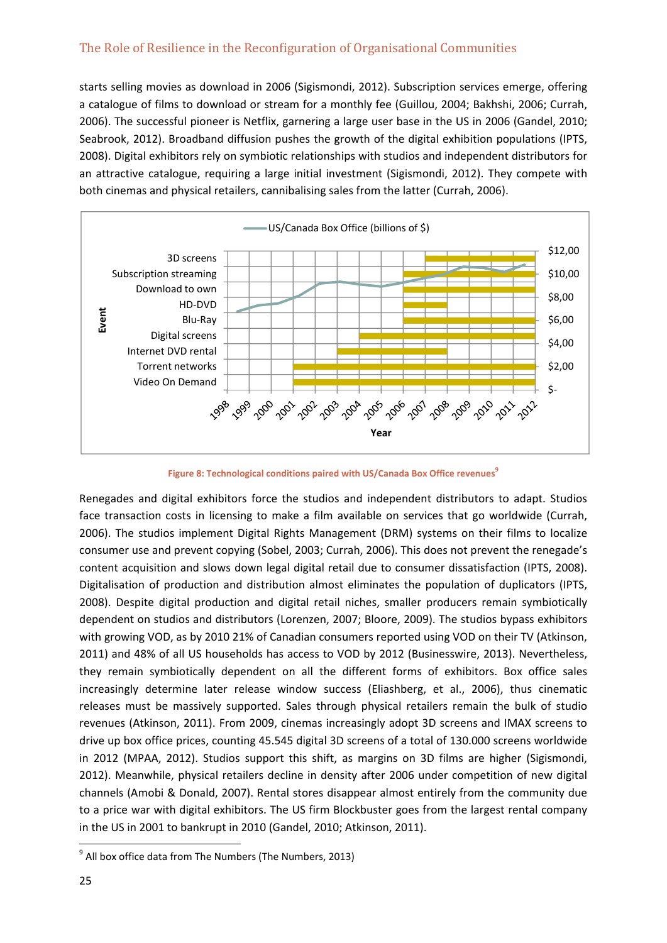starts selling movies as download in 2006 (Sigismondi, 2012). Subscription services emerge, offering a catalogue of films to download or stream for a monthly fee (Guillou, 2004; Bakhshi, 2006; Currah, 2006). The successful pioneer is Netflix, garnering a large user base in the US in 2006 (Gandel, 2010; Seabrook, 2012). Broadband diffusion pushes the growth of the digital exhibition populations (IPTS, 2008). Digital exhibitors rely on symbiotic relationships with studios and independent distributors for an attractive catalogue, requiring a large initial investment (Sigismondi, 2012). They compete with both cinemas and physical retailers, cannibalising sales from the latter (Currah, 2006).



**Figure 8: Technological conditions paired with US/Canada Box Office revenues<sup>9</sup>** 

Renegades and digital exhibitors force the studios and independent distributors to adapt. Studios face transaction costs in licensing to make a film available on services that go worldwide (Currah, 2006). The studios implement Digital Rights Management (DRM) systems on their films to localize consumer use and prevent copying (Sobel, 2003; Currah, 2006). This does not prevent the renegade's content acquisition and slows down legal digital retail due to consumer dissatisfaction (IPTS, 2008). Digitalisation of production and distribution almost eliminates the population of duplicators (IPTS, 2008). Despite digital production and digital retail niches, smaller producers remain symbiotically dependent on studios and distributors (Lorenzen, 2007; Bloore, 2009). The studios bypass exhibitors with growing VOD, as by 2010 21% of Canadian consumers reported using VOD on their TV (Atkinson, 2011) and 48% of all US households has access to VOD by 2012 (Businesswire, 2013). Nevertheless, they remain symbiotically dependent on all the different forms of exhibitors. Box office sales increasingly determine later release window success (Eliashberg, et al., 2006), thus cinematic releases must be massively supported. Sales through physical retailers remain the bulk of studio revenues (Atkinson, 2011). From 2009, cinemas increasingly adopt 3D screens and IMAX screens to drive up box office prices, counting 45.545 digital 3D screens of a total of 130.000 screens worldwide in 2012 (MPAA, 2012). Studios support this shift, as margins on 3D films are higher (Sigismondi, 2012). Meanwhile, physical retailers decline in density after 2006 under competition of new digital channels (Amobi & Donald, 2007). Rental stores disappear almost entirely from the community due to a price war with digital exhibitors. The US firm Blockbuster goes from the largest rental company in the US in 2001 to bankrupt in 2010 (Gandel, 2010; Atkinson, 2011).

 $9$  All box office data from The Numbers (The Numbers, 2013)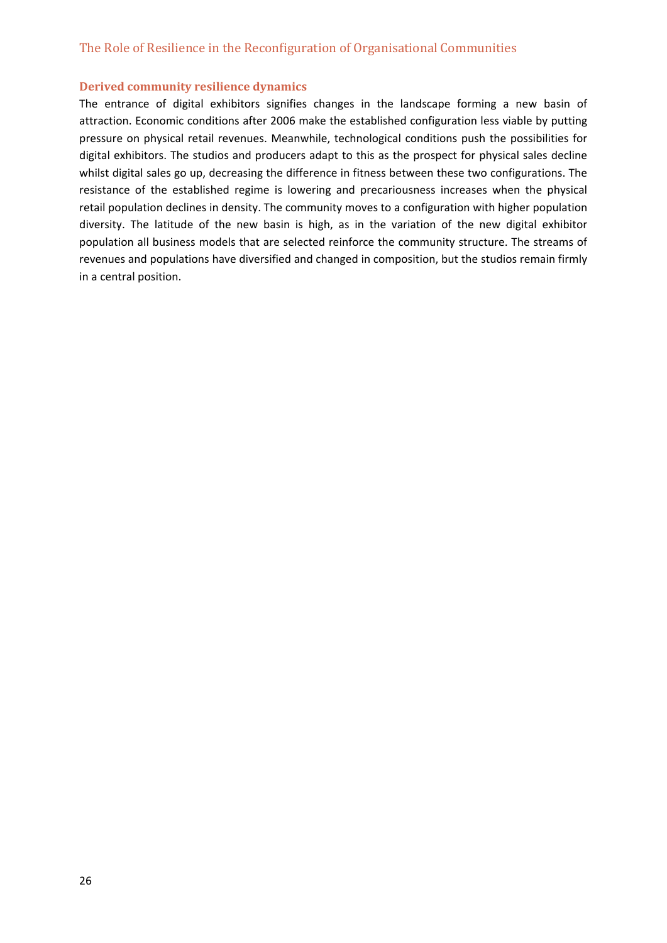#### **Derived community resilience dynamics**

The entrance of digital exhibitors signifies changes in the landscape forming a new basin of attraction. Economic conditions after 2006 make the established configuration less viable by putting pressure on physical retail revenues. Meanwhile, technological conditions push the possibilities for digital exhibitors. The studios and producers adapt to this as the prospect for physical sales decline whilst digital sales go up, decreasing the difference in fitness between these two configurations. The resistance of the established regime is lowering and precariousness increases when the physical retail population declines in density. The community moves to a configuration with higher population diversity. The latitude of the new basin is high, as in the variation of the new digital exhibitor population all business models that are selected reinforce the community structure. The streams of revenues and populations have diversified and changed in composition, but the studios remain firmly in a central position.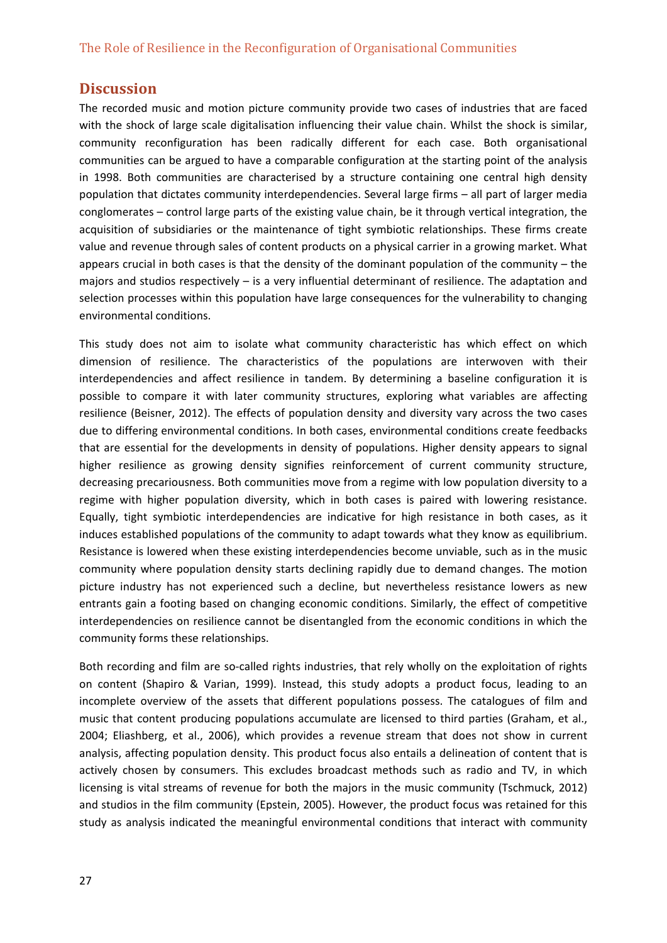## **Discussion**

The recorded music and motion picture community provide two cases of industries that are faced with the shock of large scale digitalisation influencing their value chain. Whilst the shock is similar, community reconfiguration has been radically different for each case. Both organisational communities can be argued to have a comparable configuration at the starting point of the analysis in 1998. Both communities are characterised by a structure containing one central high density population that dictates community interdependencies. Several large firms – all part of larger media conglomerates – control large parts of the existing value chain, be it through vertical integration, the acquisition of subsidiaries or the maintenance of tight symbiotic relationships. These firms create value and revenue through sales of content products on a physical carrier in a growing market. What appears crucial in both cases is that the density of the dominant population of the community – the majors and studios respectively – is a very influential determinant of resilience. The adaptation and selection processes within this population have large consequences for the vulnerability to changing environmental conditions.

This study does not aim to isolate what community characteristic has which effect on which dimension of resilience. The characteristics of the populations are interwoven with their interdependencies and affect resilience in tandem. By determining a baseline configuration it is possible to compare it with later community structures, exploring what variables are affecting resilience (Beisner, 2012). The effects of population density and diversity vary across the two cases due to differing environmental conditions. In both cases, environmental conditions create feedbacks that are essential for the developments in density of populations. Higher density appears to signal higher resilience as growing density signifies reinforcement of current community structure, decreasing precariousness. Both communities move from a regime with low population diversity to a regime with higher population diversity, which in both cases is paired with lowering resistance. Equally, tight symbiotic interdependencies are indicative for high resistance in both cases, as it induces established populations of the community to adapt towards what they know as equilibrium. Resistance is lowered when these existing interdependencies become unviable, such as in the music community where population density starts declining rapidly due to demand changes. The motion picture industry has not experienced such a decline, but nevertheless resistance lowers as new entrants gain a footing based on changing economic conditions. Similarly, the effect of competitive interdependencies on resilience cannot be disentangled from the economic conditions in which the community forms these relationships.

Both recording and film are so‐called rights industries, that rely wholly on the exploitation of rights on content (Shapiro & Varian, 1999). Instead, this study adopts a product focus, leading to an incomplete overview of the assets that different populations possess. The catalogues of film and music that content producing populations accumulate are licensed to third parties (Graham, et al., 2004; Eliashberg, et al., 2006), which provides a revenue stream that does not show in current analysis, affecting population density. This product focus also entails a delineation of content that is actively chosen by consumers. This excludes broadcast methods such as radio and TV, in which licensing is vital streams of revenue for both the majors in the music community (Tschmuck, 2012) and studios in the film community (Epstein, 2005). However, the product focus was retained for this study as analysis indicated the meaningful environmental conditions that interact with community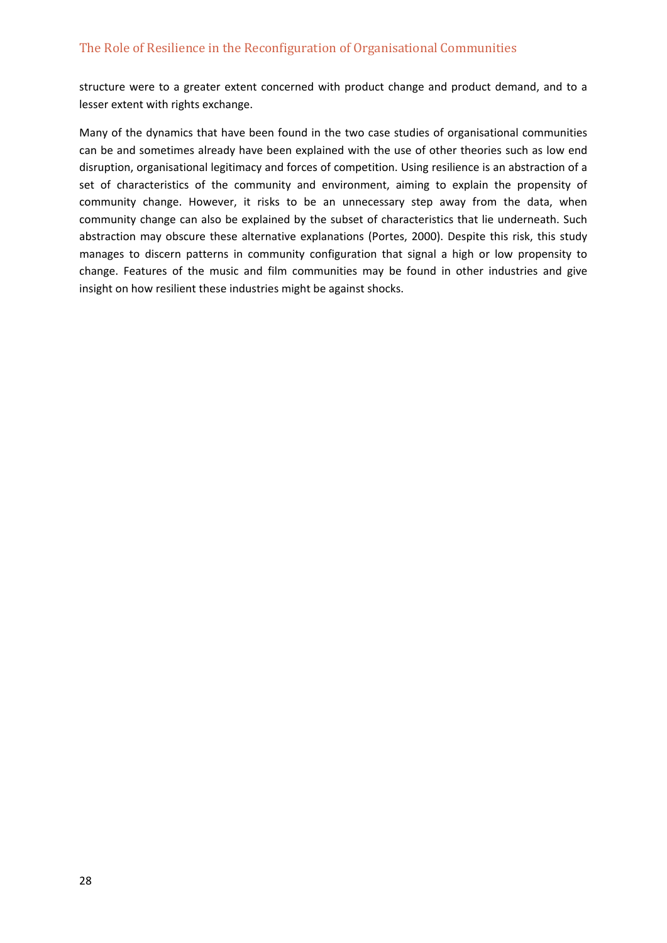structure were to a greater extent concerned with product change and product demand, and to a lesser extent with rights exchange.

Many of the dynamics that have been found in the two case studies of organisational communities can be and sometimes already have been explained with the use of other theories such as low end disruption, organisational legitimacy and forces of competition. Using resilience is an abstraction of a set of characteristics of the community and environment, aiming to explain the propensity of community change. However, it risks to be an unnecessary step away from the data, when community change can also be explained by the subset of characteristics that lie underneath. Such abstraction may obscure these alternative explanations (Portes, 2000). Despite this risk, this study manages to discern patterns in community configuration that signal a high or low propensity to change. Features of the music and film communities may be found in other industries and give insight on how resilient these industries might be against shocks.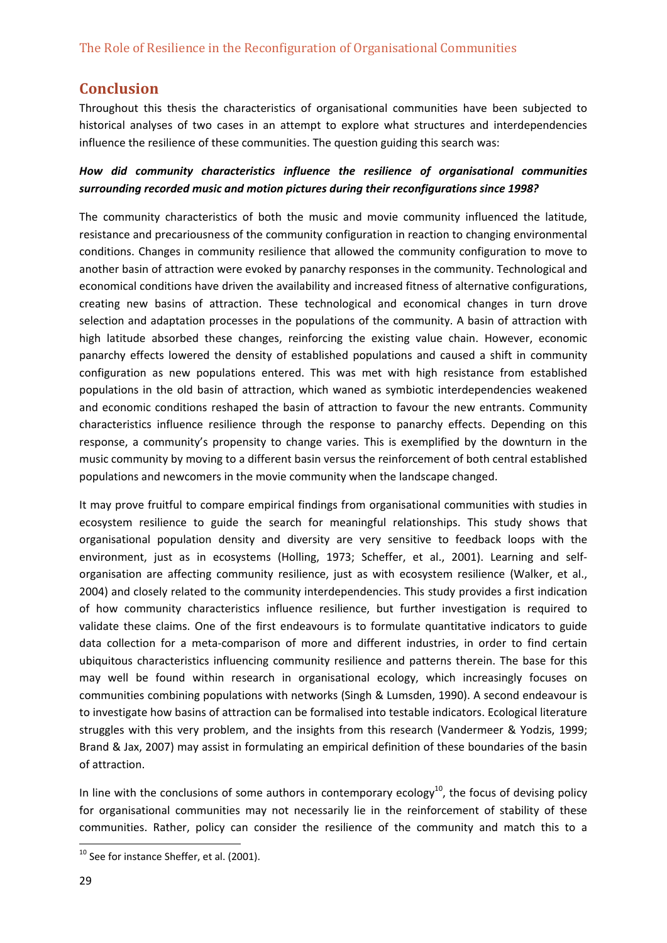# **Conclusion**

Throughout this thesis the characteristics of organisational communities have been subjected to historical analyses of two cases in an attempt to explore what structures and interdependencies influence the resilience of these communities. The question guiding this search was:

## *How did community characteristics influence the resilience of organisational communities surrounding recorded music and motion pictures during their reconfigurations since 1998?*

The community characteristics of both the music and movie community influenced the latitude, resistance and precariousness of the community configuration in reaction to changing environmental conditions. Changes in community resilience that allowed the community configuration to move to another basin of attraction were evoked by panarchy responses in the community. Technological and economical conditions have driven the availability and increased fitness of alternative configurations, creating new basins of attraction. These technological and economical changes in turn drove selection and adaptation processes in the populations of the community. A basin of attraction with high latitude absorbed these changes, reinforcing the existing value chain. However, economic panarchy effects lowered the density of established populations and caused a shift in community configuration as new populations entered. This was met with high resistance from established populations in the old basin of attraction, which waned as symbiotic interdependencies weakened and economic conditions reshaped the basin of attraction to favour the new entrants. Community characteristics influence resilience through the response to panarchy effects. Depending on this response, a community's propensity to change varies. This is exemplified by the downturn in the music community by moving to a different basin versus the reinforcement of both central established populations and newcomers in the movie community when the landscape changed.

It may prove fruitful to compare empirical findings from organisational communities with studies in ecosystem resilience to guide the search for meaningful relationships. This study shows that organisational population density and diversity are very sensitive to feedback loops with the environment, just as in ecosystems (Holling, 1973; Scheffer, et al., 2001). Learning and selforganisation are affecting community resilience, just as with ecosystem resilience (Walker, et al., 2004) and closely related to the community interdependencies. This study provides a first indication of how community characteristics influence resilience, but further investigation is required to validate these claims. One of the first endeavours is to formulate quantitative indicators to guide data collection for a meta‐comparison of more and different industries, in order to find certain ubiquitous characteristics influencing community resilience and patterns therein. The base for this may well be found within research in organisational ecology, which increasingly focuses on communities combining populations with networks (Singh & Lumsden, 1990). A second endeavour is to investigate how basins of attraction can be formalised into testable indicators. Ecological literature struggles with this very problem, and the insights from this research (Vandermeer & Yodzis, 1999; Brand & Jax, 2007) may assist in formulating an empirical definition of these boundaries of the basin of attraction.

In line with the conclusions of some authors in contemporary ecology $^{10}$ , the focus of devising policy for organisational communities may not necessarily lie in the reinforcement of stability of these communities. Rather, policy can consider the resilience of the community and match this to a

<sup>&</sup>lt;sup>10</sup> See for instance Sheffer, et al. (2001).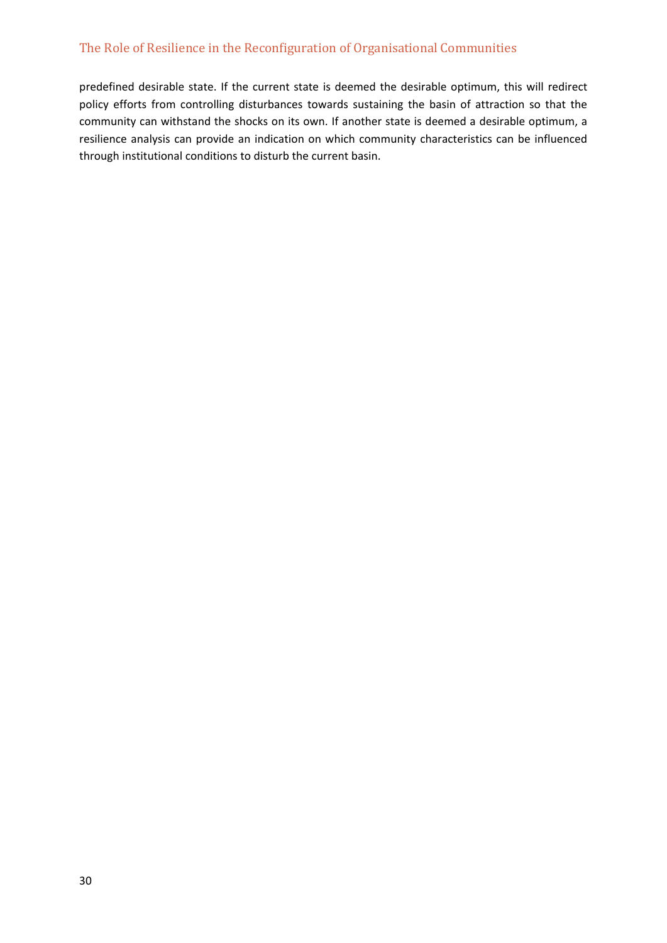predefined desirable state. If the current state is deemed the desirable optimum, this will redirect policy efforts from controlling disturbances towards sustaining the basin of attraction so that the community can withstand the shocks on its own. If another state is deemed a desirable optimum, a resilience analysis can provide an indication on which community characteristics can be influenced through institutional conditions to disturb the current basin.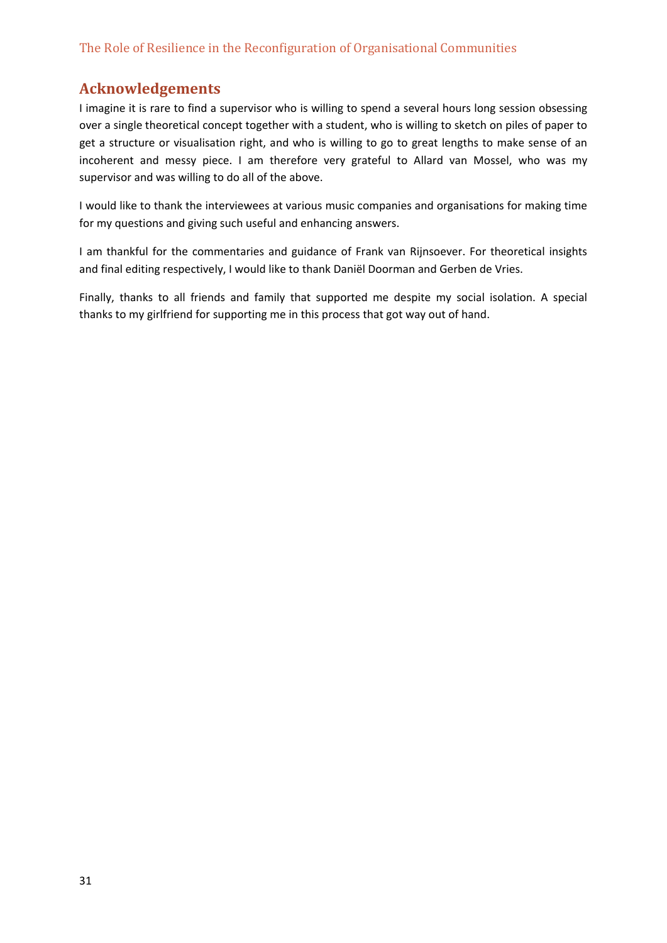# **Acknowledgements**

I imagine it is rare to find a supervisor who is willing to spend a several hours long session obsessing over a single theoretical concept together with a student, who is willing to sketch on piles of paper to get a structure or visualisation right, and who is willing to go to great lengths to make sense of an incoherent and messy piece. I am therefore very grateful to Allard van Mossel, who was my supervisor and was willing to do all of the above.

I would like to thank the interviewees at various music companies and organisations for making time for my questions and giving such useful and enhancing answers.

I am thankful for the commentaries and guidance of Frank van Rijnsoever. For theoretical insights and final editing respectively, I would like to thank Daniël Doorman and Gerben de Vries.

Finally, thanks to all friends and family that supported me despite my social isolation. A special thanks to my girlfriend for supporting me in this process that got way out of hand.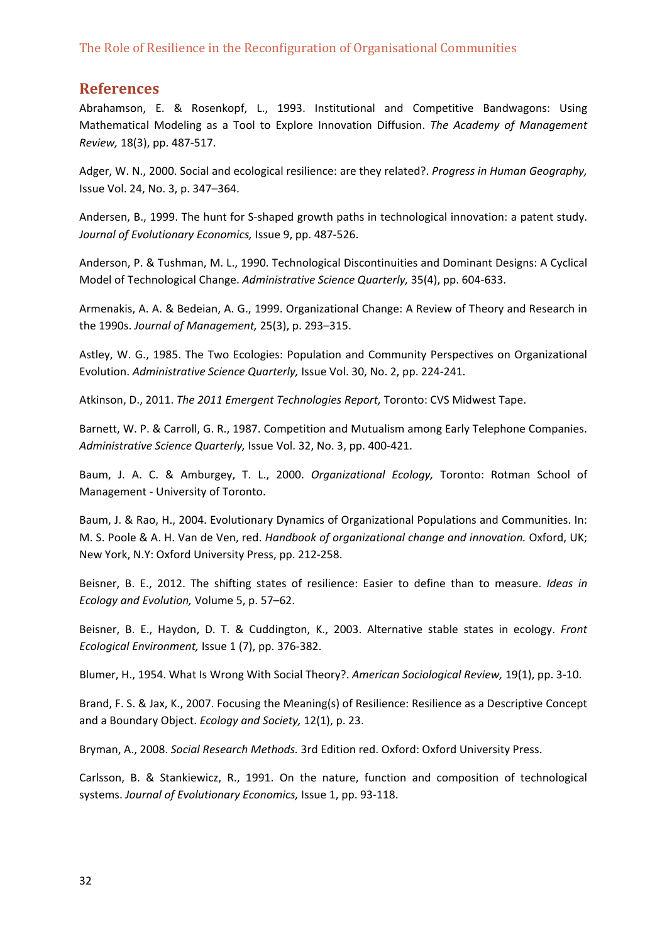## **References**

Abrahamson, E. & Rosenkopf, L., 1993. Institutional and Competitive Bandwagons: Using Mathematical Modeling as a Tool to Explore Innovation Diffusion. *The Academy of Management Review,* 18(3), pp. 487‐517.

Adger, W. N., 2000. Social and ecological resilience: are they related?. *Progress in Human Geography,* Issue Vol. 24, No. 3, p. 347–364.

Andersen, B., 1999. The hunt for S-shaped growth paths in technological innovation: a patent study. *Journal of Evolutionary Economics,* Issue 9, pp. 487‐526.

Anderson, P. & Tushman, M. L., 1990. Technological Discontinuities and Dominant Designs: A Cyclical Model of Technological Change. *Administrative Science Quarterly,* 35(4), pp. 604‐633.

Armenakis, A. A. & Bedeian, A. G., 1999. Organizational Change: A Review of Theory and Research in the 1990s. *Journal of Management,* 25(3), p. 293–315.

Astley, W. G., 1985. The Two Ecologies: Population and Community Perspectives on Organizational Evolution. *Administrative Science Quarterly,* Issue Vol. 30, No. 2, pp. 224‐241.

Atkinson, D., 2011. *The 2011 Emergent Technologies Report,* Toronto: CVS Midwest Tape.

Barnett, W. P. & Carroll, G. R., 1987. Competition and Mutualism among Early Telephone Companies. *Administrative Science Quarterly,* Issue Vol. 32, No. 3, pp. 400‐421.

Baum, J. A. C. & Amburgey, T. L., 2000. *Organizational Ecology,* Toronto: Rotman School of Management ‐ University of Toronto.

Baum, J. & Rao, H., 2004. Evolutionary Dynamics of Organizational Populations and Communities. In: M. S. Poole & A. H. Van de Ven, red. *Handbook of organizational change and innovation.* Oxford, UK; New York, N.Y: Oxford University Press, pp. 212‐258.

Beisner, B. E., 2012. The shifting states of resilience: Easier to define than to measure. *Ideas in Ecology and Evolution,* Volume 5, p. 57–62.

Beisner, B. E., Haydon, D. T. & Cuddington, K., 2003. Alternative stable states in ecology. *Front Ecological Environment,* Issue 1 (7), pp. 376‐382.

Blumer, H., 1954. What Is Wrong With Social Theory?. *American Sociological Review,* 19(1), pp. 3‐10.

Brand, F. S. & Jax, K., 2007. Focusing the Meaning(s) of Resilience: Resilience as a Descriptive Concept and a Boundary Object. *Ecology and Society,* 12(1), p. 23.

Bryman, A., 2008. *Social Research Methods.* 3rd Edition red. Oxford: Oxford University Press.

Carlsson, B. & Stankiewicz, R., 1991. On the nature, function and composition of technological systems. *Journal of Evolutionary Economics,* Issue 1, pp. 93‐118.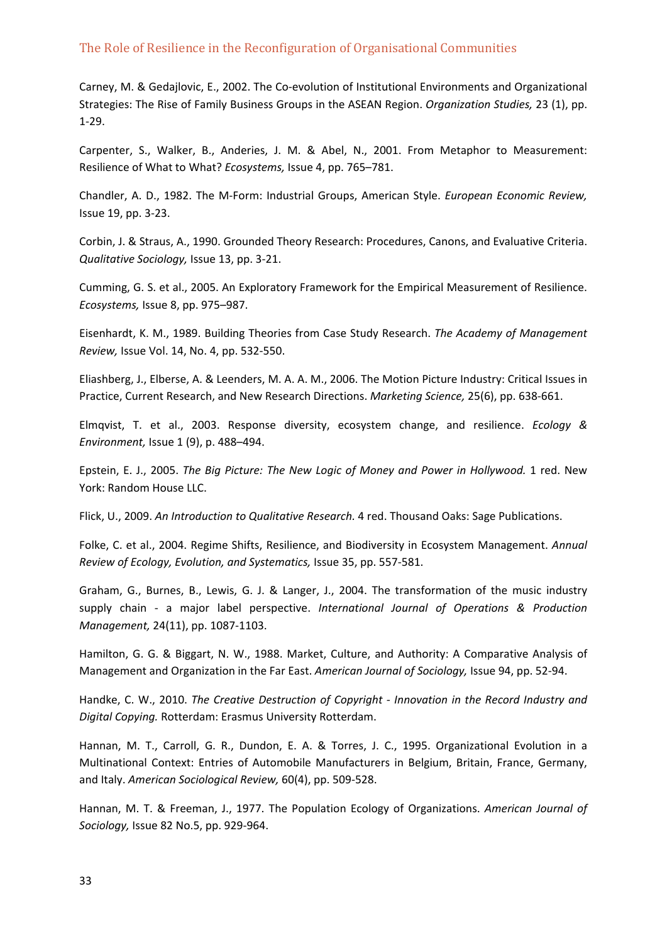Carney, M. & Gedajlovic, E., 2002. The Co-evolution of Institutional Environments and Organizational Strategies: The Rise of Family Business Groups in the ASEAN Region. *Organization Studies,* 23 (1), pp. 1‐29.

Carpenter, S., Walker, B., Anderies, J. M. & Abel, N., 2001. From Metaphor to Measurement: Resilience of What to What? *Ecosystems,* Issue 4, pp. 765–781.

Chandler, A. D., 1982. The M‐Form: Industrial Groups, American Style. *European Economic Review,* Issue 19, pp. 3‐23.

Corbin, J. & Straus, A., 1990. Grounded Theory Research: Procedures, Canons, and Evaluative Criteria. *Qualitative Sociology,* Issue 13, pp. 3‐21.

Cumming, G. S. et al., 2005. An Exploratory Framework for the Empirical Measurement of Resilience. *Ecosystems,* Issue 8, pp. 975–987.

Eisenhardt, K. M., 1989. Building Theories from Case Study Research. *The Academy of Management Review,* Issue Vol. 14, No. 4, pp. 532‐550.

Eliashberg, J., Elberse, A. & Leenders, M. A. A. M., 2006. The Motion Picture Industry: Critical Issues in Practice, Current Research, and New Research Directions. *Marketing Science,* 25(6), pp. 638‐661.

Elmqvist, T. et al., 2003. Response diversity, ecosystem change, and resilience. *Ecology & Environment,* Issue 1 (9), p. 488–494.

Epstein, E. J., 2005. *The Big Picture: The New Logic of Money and Power in Hollywood.* 1 red. New York: Random House LLC.

Flick, U., 2009. *An Introduction to Qualitative Research.* 4 red. Thousand Oaks: Sage Publications.

Folke, C. et al., 2004. Regime Shifts, Resilience, and Biodiversity in Ecosystem Management. *Annual Review of Ecology, Evolution, and Systematics,* Issue 35, pp. 557‐581.

Graham, G., Burnes, B., Lewis, G. J. & Langer, J., 2004. The transformation of the music industry supply chain ‐ a major label perspective. *International Journal of Operations & Production Management,* 24(11), pp. 1087‐1103.

Hamilton, G. G. & Biggart, N. W., 1988. Market, Culture, and Authority: A Comparative Analysis of Management and Organization in the Far East. *American Journal of Sociology,* Issue 94, pp. 52‐94.

Handke, C. W., 2010. *The Creative Destruction of Copyright ‐ Innovation in the Record Industry and Digital Copying.* Rotterdam: Erasmus University Rotterdam.

Hannan, M. T., Carroll, G. R., Dundon, E. A. & Torres, J. C., 1995. Organizational Evolution in a Multinational Context: Entries of Automobile Manufacturers in Belgium, Britain, France, Germany, and Italy. *American Sociological Review,* 60(4), pp. 509‐528.

Hannan, M. T. & Freeman, J., 1977. The Population Ecology of Organizations. *American Journal of Sociology,* Issue 82 No.5, pp. 929‐964.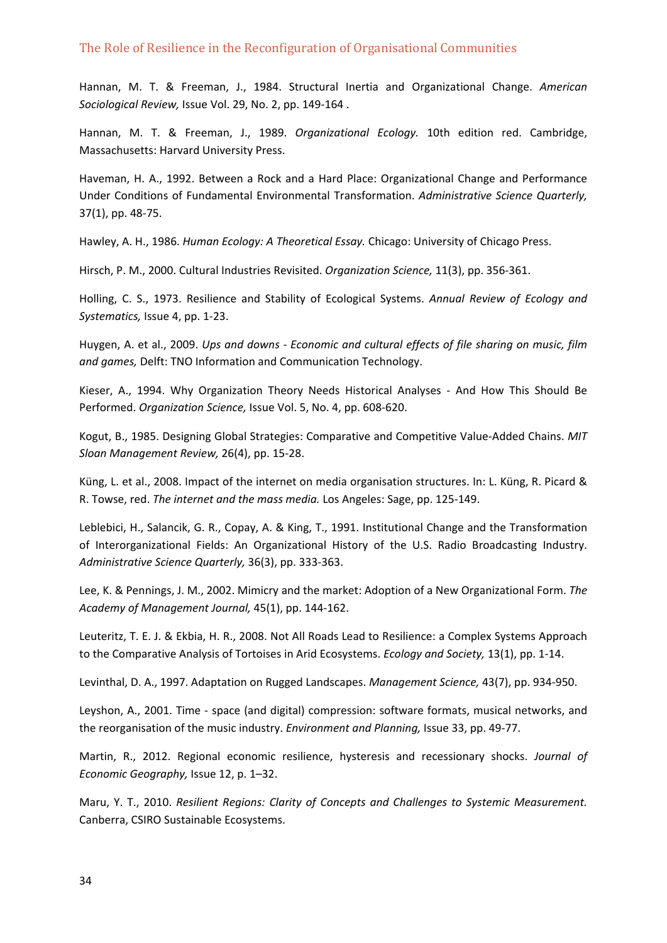Hannan, M. T. & Freeman, J., 1984. Structural Inertia and Organizational Change. *American Sociological Review,* Issue Vol. 29, No. 2, pp. 149‐164 .

Hannan, M. T. & Freeman, J., 1989. *Organizational Ecology.* 10th edition red. Cambridge, Massachusetts: Harvard University Press.

Haveman, H. A., 1992. Between a Rock and a Hard Place: Organizational Change and Performance Under Conditions of Fundamental Environmental Transformation. *Administrative Science Quarterly,* 37(1), pp. 48‐75.

Hawley, A. H., 1986. *Human Ecology: A Theoretical Essay.* Chicago: University of Chicago Press.

Hirsch, P. M., 2000. Cultural Industries Revisited. *Organization Science,* 11(3), pp. 356‐361.

Holling, C. S., 1973. Resilience and Stability of Ecological Systems. *Annual Review of Ecology and Systematics,* Issue 4, pp. 1‐23.

Huygen, A. et al., 2009. *Ups and downs ‐ Economic and cultural effects of file sharing on music, film and games,* Delft: TNO Information and Communication Technology.

Kieser, A., 1994. Why Organization Theory Needs Historical Analyses - And How This Should Be Performed. *Organization Science,* Issue Vol. 5, No. 4, pp. 608‐620.

Kogut, B., 1985. Designing Global Strategies: Comparative and Competitive Value‐Added Chains. *MIT Sloan Management Review,* 26(4), pp. 15‐28.

Küng, L. et al., 2008. Impact of the internet on media organisation structures. In: L. Küng, R. Picard & R. Towse, red. *The internet and the mass media.* Los Angeles: Sage, pp. 125‐149.

Leblebici, H., Salancik, G. R., Copay, A. & King, T., 1991. Institutional Change and the Transformation of Interorganizational Fields: An Organizational History of the U.S. Radio Broadcasting Industry. *Administrative Science Quarterly,* 36(3), pp. 333‐363.

Lee, K. & Pennings, J. M., 2002. Mimicry and the market: Adoption of a New Organizational Form. *The Academy of Management Journal,* 45(1), pp. 144‐162.

Leuteritz, T. E. J. & Ekbia, H. R., 2008. Not All Roads Lead to Resilience: a Complex Systems Approach to the Comparative Analysis of Tortoises in Arid Ecosystems. *Ecology and Society,* 13(1), pp. 1‐14.

Levinthal, D. A., 1997. Adaptation on Rugged Landscapes. *Management Science,* 43(7), pp. 934‐950.

Leyshon, A., 2001. Time ‐ space (and digital) compression: software formats, musical networks, and the reorganisation of the music industry. *Environment and Planning,* Issue 33, pp. 49‐77.

Martin, R., 2012. Regional economic resilience, hysteresis and recessionary shocks. *Journal of Economic Geography,* Issue 12, p. 1–32.

Maru, Y. T., 2010. *Resilient Regions: Clarity of Concepts and Challenges to Systemic Measurement.* Canberra, CSIRO Sustainable Ecosystems.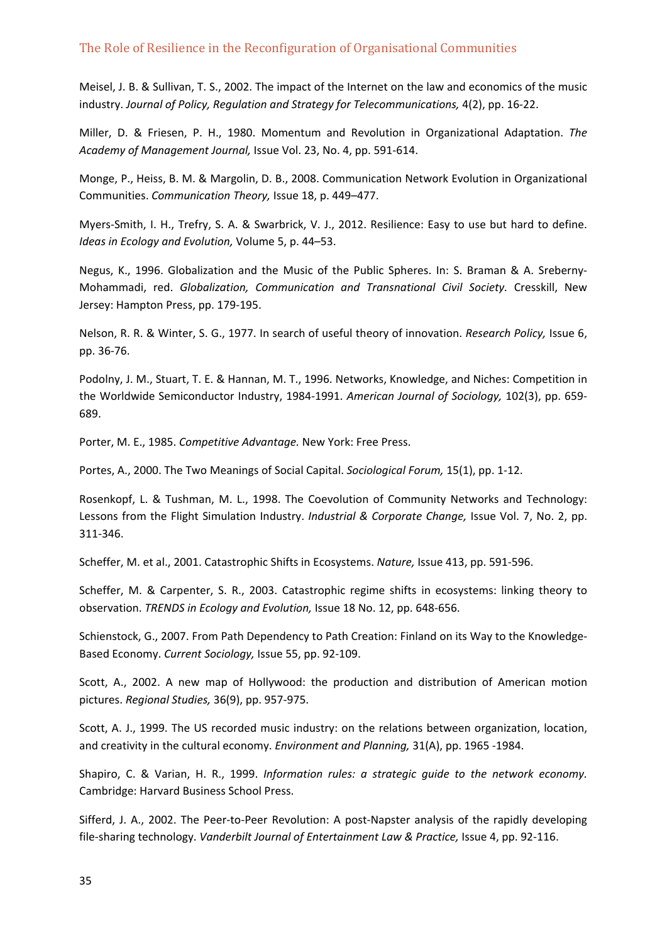Meisel, J. B. & Sullivan, T. S., 2002. The impact of the Internet on the law and economics of the music industry. *Journal of Policy, Regulation and Strategy for Telecommunications,* 4(2), pp. 16‐22.

Miller, D. & Friesen, P. H., 1980. Momentum and Revolution in Organizational Adaptation. *The Academy of Management Journal,* Issue Vol. 23, No. 4, pp. 591‐614.

Monge, P., Heiss, B. M. & Margolin, D. B., 2008. Communication Network Evolution in Organizational Communities. *Communication Theory,* Issue 18, p. 449–477.

Myers‐Smith, I. H., Trefry, S. A. & Swarbrick, V. J., 2012. Resilience: Easy to use but hard to define. *Ideas in Ecology and Evolution,* Volume 5, p. 44–53.

Negus, K., 1996. Globalization and the Music of the Public Spheres. In: S. Braman & A. Sreberny‐ Mohammadi, red. *Globalization, Communication and Transnational Civil Society.* Cresskill, New Jersey: Hampton Press, pp. 179‐195.

Nelson, R. R. & Winter, S. G., 1977. In search of useful theory of innovation. *Research Policy,* Issue 6, pp. 36‐76.

Podolny, J. M., Stuart, T. E. & Hannan, M. T., 1996. Networks, Knowledge, and Niches: Competition in the Worldwide Semiconductor Industry, 1984‐1991. *American Journal of Sociology,* 102(3), pp. 659‐ 689.

Porter, M. E., 1985. *Competitive Advantage.* New York: Free Press.

Portes, A., 2000. The Two Meanings of Social Capital. *Sociological Forum,* 15(1), pp. 1‐12.

Rosenkopf, L. & Tushman, M. L., 1998. The Coevolution of Community Networks and Technology: Lessons from the Flight Simulation Industry. *Industrial & Corporate Change,* Issue Vol. 7, No. 2, pp. 311‐346.

Scheffer, M. et al., 2001. Catastrophic Shifts in Ecosystems. *Nature,* Issue 413, pp. 591‐596.

Scheffer, M. & Carpenter, S. R., 2003. Catastrophic regime shifts in ecosystems: linking theory to observation. *TRENDS in Ecology and Evolution,* Issue 18 No. 12, pp. 648‐656.

Schienstock, G., 2007. From Path Dependency to Path Creation: Finland on its Way to the Knowledge‐ Based Economy. *Current Sociology,* Issue 55, pp. 92‐109.

Scott, A., 2002. A new map of Hollywood: the production and distribution of American motion pictures. *Regional Studies,* 36(9), pp. 957‐975.

Scott, A. J., 1999. The US recorded music industry: on the relations between organization, location, and creativity in the cultural economy. *Environment and Planning,* 31(A), pp. 1965 ‐1984.

Shapiro, C. & Varian, H. R., 1999. *Information rules: a strategic guide to the network economy.* Cambridge: Harvard Business School Press.

Sifferd, J. A., 2002. The Peer-to-Peer Revolution: A post-Napster analysis of the rapidly developing file‐sharing technology. *Vanderbilt Journal of Entertainment Law & Practice,* Issue 4, pp. 92‐116.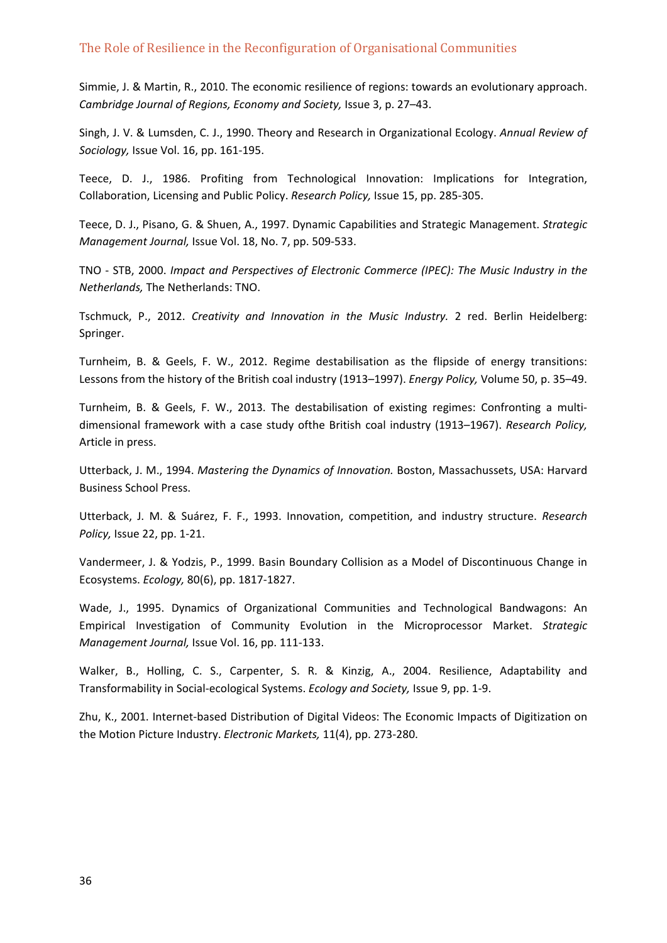Simmie, J. & Martin, R., 2010. The economic resilience of regions: towards an evolutionary approach. *Cambridge Journal of Regions, Economy and Society,* Issue 3, p. 27–43.

Singh, J. V. & Lumsden, C. J., 1990. Theory and Research in Organizational Ecology. *Annual Review of Sociology,* Issue Vol. 16, pp. 161‐195.

Teece, D. J., 1986. Profiting from Technological Innovation: Implications for Integration, Collaboration, Licensing and Public Policy. *Research Policy,* Issue 15, pp. 285‐305.

Teece, D. J., Pisano, G. & Shuen, A., 1997. Dynamic Capabilities and Strategic Management. *Strategic Management Journal,* Issue Vol. 18, No. 7, pp. 509‐533.

TNO ‐ STB, 2000. *Impact and Perspectives of Electronic Commerce (IPEC): The Music Industry in the Netherlands,* The Netherlands: TNO.

Tschmuck, P., 2012. *Creativity and Innovation in the Music Industry.* 2 red. Berlin Heidelberg: Springer.

Turnheim, B. & Geels, F. W., 2012. Regime destabilisation as the flipside of energy transitions: Lessons from the history of the British coal industry (1913–1997). *Energy Policy,* Volume 50, p. 35–49.

Turnheim, B. & Geels, F. W., 2013. The destabilisation of existing regimes: Confronting a multi‐ dimensional framework with a case study ofthe British coal industry (1913–1967). *Research Policy,* Article in press.

Utterback, J. M., 1994. *Mastering the Dynamics of Innovation.* Boston, Massachussets, USA: Harvard Business School Press.

Utterback, J. M. & Suárez, F. F., 1993. Innovation, competition, and industry structure. *Research Policy,* Issue 22, pp. 1‐21.

Vandermeer, J. & Yodzis, P., 1999. Basin Boundary Collision as a Model of Discontinuous Change in Ecosystems. *Ecology,* 80(6), pp. 1817‐1827.

Wade, J., 1995. Dynamics of Organizational Communities and Technological Bandwagons: An Empirical Investigation of Community Evolution in the Microprocessor Market. *Strategic Management Journal,* Issue Vol. 16, pp. 111‐133.

Walker, B., Holling, C. S., Carpenter, S. R. & Kinzig, A., 2004. Resilience, Adaptability and Transformability in Social‐ecological Systems. *Ecology and Society,* Issue 9, pp. 1‐9.

Zhu, K., 2001. Internet‐based Distribution of Digital Videos: The Economic Impacts of Digitization on the Motion Picture Industry. *Electronic Markets,* 11(4), pp. 273‐280.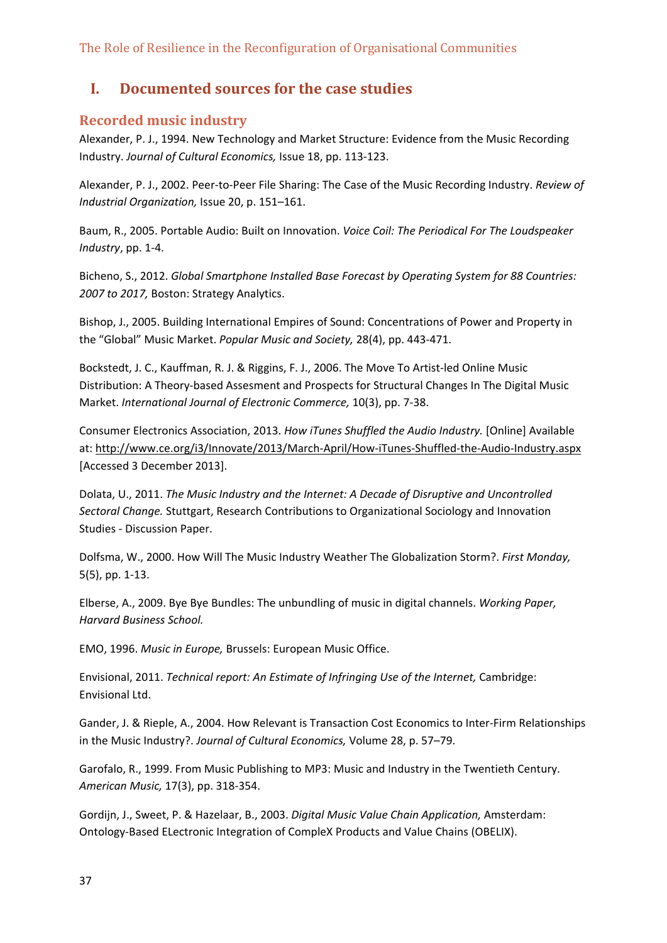# **I. Documented sources for the case studies**

## **Recorded music industry**

Alexander, P. J., 1994. New Technology and Market Structure: Evidence from the Music Recording Industry. *Journal of Cultural Economics,* Issue 18, pp. 113‐123.

Alexander, P. J., 2002. Peer‐to‐Peer File Sharing: The Case of the Music Recording Industry. *Review of Industrial Organization,* Issue 20, p. 151–161.

Baum, R., 2005. Portable Audio: Built on Innovation. *Voice Coil: The Periodical For The Loudspeaker Industry*, pp. 1‐4.

Bicheno, S., 2012. *Global Smartphone Installed Base Forecast by Operating System for 88 Countries: 2007 to 2017,* Boston: Strategy Analytics.

Bishop, J., 2005. Building International Empires of Sound: Concentrations of Power and Property in the "Global" Music Market. *Popular Music and Society,* 28(4), pp. 443‐471.

Bockstedt, J. C., Kauffman, R. J. & Riggins, F. J., 2006. The Move To Artist‐led Online Music Distribution: A Theory‐based Assesment and Prospects for Structural Changes In The Digital Music Market. *International Journal of Electronic Commerce,* 10(3), pp. 7‐38.

Consumer Electronics Association, 2013. *How iTunes Shuffled the Audio Industry.* [Online] Available at: http://www.ce.org/i3/Innovate/2013/March‐April/How‐iTunes‐Shuffled‐the‐Audio‐Industry.aspx [Accessed 3 December 2013].

Dolata, U., 2011. *The Music Industry and the Internet: A Decade of Disruptive and Uncontrolled Sectoral Change.* Stuttgart, Research Contributions to Organizational Sociology and Innovation Studies ‐ Discussion Paper.

Dolfsma, W., 2000. How Will The Music Industry Weather The Globalization Storm?. *First Monday,* 5(5), pp. 1‐13.

Elberse, A., 2009. Bye Bye Bundles: The unbundling of music in digital channels. *Working Paper, Harvard Business School.*

EMO, 1996. *Music in Europe,* Brussels: European Music Office.

Envisional, 2011. *Technical report: An Estimate of Infringing Use of the Internet,* Cambridge: Envisional Ltd.

Gander, J. & Rieple, A., 2004. How Relevant is Transaction Cost Economics to Inter‐Firm Relationships in the Music Industry?. *Journal of Cultural Economics,* Volume 28, p. 57–79.

Garofalo, R., 1999. From Music Publishing to MP3: Music and Industry in the Twentieth Century. *American Music,* 17(3), pp. 318‐354.

Gordijn, J., Sweet, P. & Hazelaar, B., 2003. *Digital Music Value Chain Application,* Amsterdam: Ontology‐Based ELectronic Integration of CompleX Products and Value Chains (OBELIX).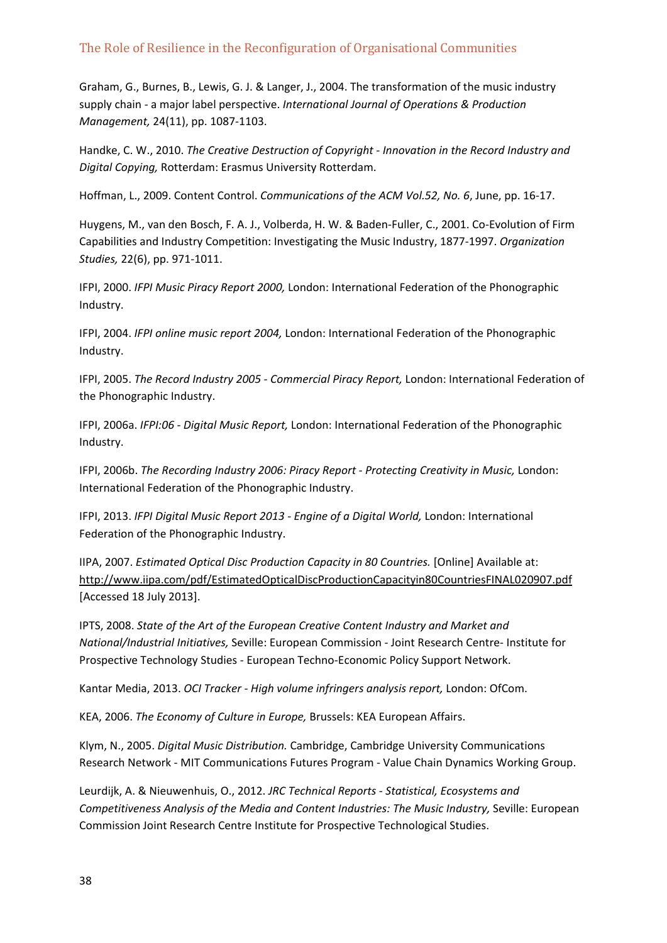Graham, G., Burnes, B., Lewis, G. J. & Langer, J., 2004. The transformation of the music industry supply chain ‐ a major label perspective. *International Journal of Operations & Production Management,* 24(11), pp. 1087‐1103.

Handke, C. W., 2010. *The Creative Destruction of Copyright ‐ Innovation in the Record Industry and Digital Copying,* Rotterdam: Erasmus University Rotterdam.

Hoffman, L., 2009. Content Control. *Communications of the ACM Vol.52, No. 6*, June, pp. 16‐17.

Huygens, M., van den Bosch, F. A. J., Volberda, H. W. & Baden‐Fuller, C., 2001. Co‐Evolution of Firm Capabilities and Industry Competition: Investigating the Music Industry, 1877‐1997. *Organization Studies,* 22(6), pp. 971‐1011.

IFPI, 2000. *IFPI Music Piracy Report 2000,* London: International Federation of the Phonographic Industry.

IFPI, 2004. *IFPI online music report 2004,* London: International Federation of the Phonographic Industry.

IFPI, 2005. *The Record Industry 2005 ‐ Commercial Piracy Report,* London: International Federation of the Phonographic Industry.

IFPI, 2006a. *IFPI:06 ‐ Digital Music Report,* London: International Federation of the Phonographic Industry.

IFPI, 2006b. *The Recording Industry 2006: Piracy Report ‐ Protecting Creativity in Music,* London: International Federation of the Phonographic Industry.

IFPI, 2013. *IFPI Digital Music Report 2013 ‐ Engine of a Digital World,* London: International Federation of the Phonographic Industry.

IIPA, 2007. *Estimated Optical Disc Production Capacity in 80 Countries.* [Online] Available at: http://www.iipa.com/pdf/EstimatedOpticalDiscProductionCapacityin80CountriesFINAL020907.pdf [Accessed 18 July 2013].

IPTS, 2008. *State of the Art of the European Creative Content Industry and Market and National/Industrial Initiatives,* Seville: European Commission ‐ Joint Research Centre‐ Institute for Prospective Technology Studies ‐ European Techno‐Economic Policy Support Network.

Kantar Media, 2013. *OCI Tracker ‐ High volume infringers analysis report,* London: OfCom.

KEA, 2006. *The Economy of Culture in Europe,* Brussels: KEA European Affairs.

Klym, N., 2005. *Digital Music Distribution.* Cambridge, Cambridge University Communications Research Network ‐ MIT Communications Futures Program ‐ Value Chain Dynamics Working Group.

Leurdijk, A. & Nieuwenhuis, O., 2012. *JRC Technical Reports ‐ Statistical, Ecosystems and Competitiveness Analysis of the Media and Content Industries: The Music Industry,* Seville: European Commission Joint Research Centre Institute for Prospective Technological Studies.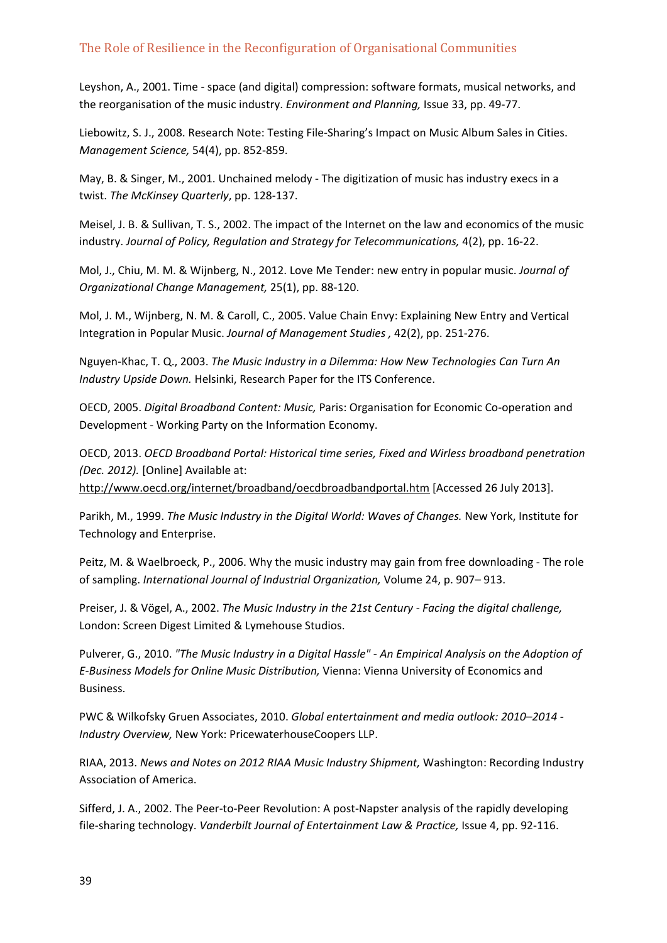Leyshon, A., 2001. Time ‐ space (and digital) compression: software formats, musical networks, and the reorganisation of the music industry. *Environment and Planning,* Issue 33, pp. 49‐77.

Liebowitz, S. J., 2008. Research Note: Testing File‐Sharing's Impact on Music Album Sales in Cities. *Management Science,* 54(4), pp. 852‐859.

May, B. & Singer, M., 2001. Unchained melody ‐ The digitization of music has industry execs in a twist. *The McKinsey Quarterly*, pp. 128‐137.

Meisel, J. B. & Sullivan, T. S., 2002. The impact of the Internet on the law and economics of the music industry. *Journal of Policy, Regulation and Strategy for Telecommunications,* 4(2), pp. 16‐22.

Mol, J., Chiu, M. M. & Wijnberg, N., 2012. Love Me Tender: new entry in popular music. *Journal of Organizational Change Management,* 25(1), pp. 88‐120.

Mol, J. M., Wijnberg, N. M. & Caroll, C., 2005. Value Chain Envy: Explaining New Entry and Vertical Integration in Popular Music. *Journal of Management Studies ,* 42(2), pp. 251‐276.

Nguyen‐Khac, T. Q., 2003. *The Music Industry in a Dilemma: How New Technologies Can Turn An Industry Upside Down.* Helsinki, Research Paper for the ITS Conference.

OECD, 2005. *Digital Broadband Content: Music,* Paris: Organisation for Economic Co‐operation and Development ‐ Working Party on the Information Economy.

OECD, 2013. *OECD Broadband Portal: Historical time series, Fixed and Wirless broadband penetration (Dec. 2012).* [Online] Available at:

http://www.oecd.org/internet/broadband/oecdbroadbandportal.htm [Accessed 26 July 2013].

Parikh, M., 1999. *The Music Industry in the Digital World: Waves of Changes.* New York, Institute for Technology and Enterprise.

Peitz, M. & Waelbroeck, P., 2006. Why the music industry may gain from free downloading ‐ The role of sampling. *International Journal of Industrial Organization,* Volume 24, p. 907– 913.

Preiser, J. & Vögel, A., 2002. *The Music Industry in the 21st Century ‐ Facing the digital challenge,* London: Screen Digest Limited & Lymehouse Studios.

Pulverer, G., 2010. *"The Music Industry in a Digital Hassle" ‐ An Empirical Analysis on the Adoption of E‐Business Models for Online Music Distribution,* Vienna: Vienna University of Economics and Business.

PWC & Wilkofsky Gruen Associates, 2010. *Global entertainment and media outlook: 2010–2014 ‐ Industry Overview,* New York: PricewaterhouseCoopers LLP.

RIAA, 2013. *News and Notes on 2012 RIAA Music Industry Shipment,* Washington: Recording Industry Association of America.

Sifferd, J. A., 2002. The Peer‐to‐Peer Revolution: A post‐Napster analysis of the rapidly developing file‐sharing technology. *Vanderbilt Journal of Entertainment Law & Practice,* Issue 4, pp. 92‐116.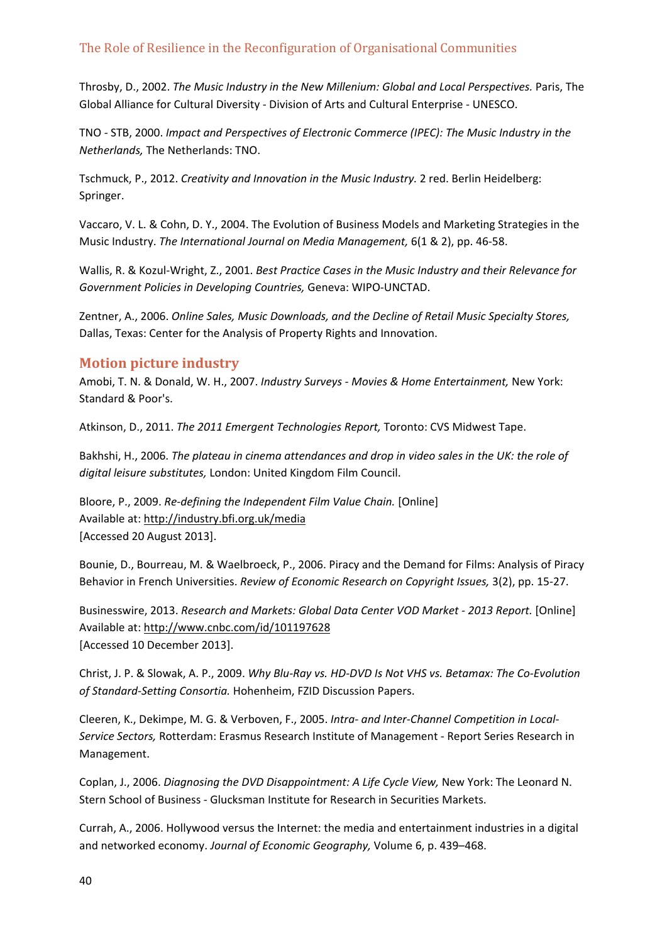Throsby, D., 2002. *The Music Industry in the New Millenium: Global and Local Perspectives.* Paris, The Global Alliance for Cultural Diversity ‐ Division of Arts and Cultural Enterprise ‐ UNESCO.

TNO ‐ STB, 2000. *Impact and Perspectives of Electronic Commerce (IPEC): The Music Industry in the Netherlands,* The Netherlands: TNO.

Tschmuck, P., 2012. *Creativity and Innovation in the Music Industry.* 2 red. Berlin Heidelberg: Springer.

Vaccaro, V. L. & Cohn, D. Y., 2004. The Evolution of Business Models and Marketing Strategies in the Music Industry. *The International Journal on Media Management,* 6(1 & 2), pp. 46‐58.

Wallis, R. & Kozul‐Wright, Z., 2001. *Best Practice Cases in the Music Industry and their Relevance for Government Policies in Developing Countries,* Geneva: WIPO‐UNCTAD.

Zentner, A., 2006. *Online Sales, Music Downloads, and the Decline of Retail Music Specialty Stores,* Dallas, Texas: Center for the Analysis of Property Rights and Innovation.

## **Motion picture industry**

Amobi, T. N. & Donald, W. H., 2007. *Industry Surveys ‐ Movies & Home Entertainment,* New York: Standard & Poor's.

Atkinson, D., 2011. *The 2011 Emergent Technologies Report,* Toronto: CVS Midwest Tape.

Bakhshi, H., 2006. *The plateau in cinema attendances and drop in video sales in the UK: the role of digital leisure substitutes,* London: United Kingdom Film Council.

Bloore, P., 2009. *Re‐defining the Independent Film Value Chain.* [Online] Available at: http://industry.bfi.org.uk/media [Accessed 20 August 2013].

Bounie, D., Bourreau, M. & Waelbroeck, P., 2006. Piracy and the Demand for Films: Analysis of Piracy Behavior in French Universities. *Review of Economic Research on Copyright Issues,* 3(2), pp. 15‐27.

Businesswire, 2013. *Research and Markets: Global Data Center VOD Market ‐ 2013 Report.* [Online] Available at: http://www.cnbc.com/id/101197628 [Accessed 10 December 2013].

Christ, J. P. & Slowak, A. P., 2009. *Why Blu‐Ray vs. HD‐DVD Is Not VHS vs. Betamax: The Co‐Evolution of Standard‐Setting Consortia.* Hohenheim, FZID Discussion Papers.

Cleeren, K., Dekimpe, M. G. & Verboven, F., 2005. *Intra‐ and Inter‐Channel Competition in Local‐ Service Sectors,* Rotterdam: Erasmus Research Institute of Management ‐ Report Series Research in Management.

Coplan, J., 2006. *Diagnosing the DVD Disappointment: A Life Cycle View,* New York: The Leonard N. Stern School of Business ‐ Glucksman Institute for Research in Securities Markets.

Currah, A., 2006. Hollywood versus the Internet: the media and entertainment industries in a digital and networked economy. *Journal of Economic Geography,* Volume 6, p. 439–468.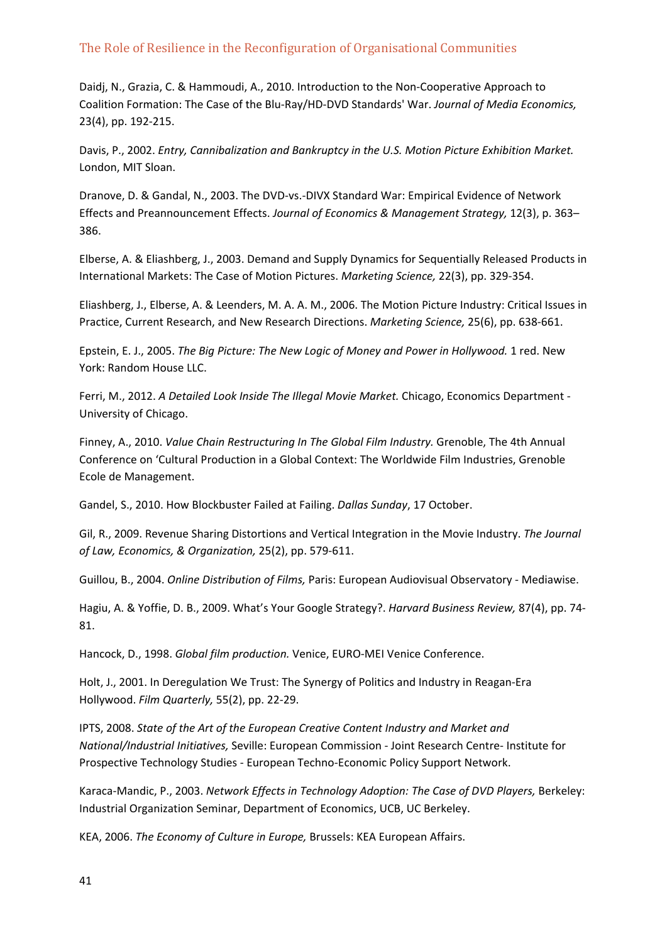Daidj, N., Grazia, C. & Hammoudi, A., 2010. Introduction to the Non‐Cooperative Approach to Coalition Formation: The Case of the Blu‐Ray/HD‐DVD Standards' War. *Journal of Media Economics,* 23(4), pp. 192‐215.

Davis, P., 2002. *Entry, Cannibalization and Bankruptcy in the U.S. Motion Picture Exhibition Market.* London, MIT Sloan.

Dranove, D. & Gandal, N., 2003. The DVD‐vs.‐DIVX Standard War: Empirical Evidence of Network Effects and Preannouncement Effects. *Journal of Economics & Management Strategy,* 12(3), p. 363– 386.

Elberse, A. & Eliashberg, J., 2003. Demand and Supply Dynamics for Sequentially Released Products in International Markets: The Case of Motion Pictures. *Marketing Science,* 22(3), pp. 329‐354.

Eliashberg, J., Elberse, A. & Leenders, M. A. A. M., 2006. The Motion Picture Industry: Critical Issues in Practice, Current Research, and New Research Directions. *Marketing Science,* 25(6), pp. 638‐661.

Epstein, E. J., 2005. *The Big Picture: The New Logic of Money and Power in Hollywood.* 1 red. New York: Random House LLC.

Ferri, M., 2012. *A Detailed Look Inside The Illegal Movie Market.* Chicago, Economics Department ‐ University of Chicago.

Finney, A., 2010. *Value Chain Restructuring In The Global Film Industry.* Grenoble, The 4th Annual Conference on 'Cultural Production in a Global Context: The Worldwide Film Industries, Grenoble Ecole de Management.

Gandel, S., 2010. How Blockbuster Failed at Failing. *Dallas Sunday*, 17 October.

Gil, R., 2009. Revenue Sharing Distortions and Vertical Integration in the Movie Industry. *The Journal of Law, Economics, & Organization,* 25(2), pp. 579‐611.

Guillou, B., 2004. *Online Distribution of Films,* Paris: European Audiovisual Observatory ‐ Mediawise.

Hagiu, A. & Yoffie, D. B., 2009. What's Your Google Strategy?. *Harvard Business Review,* 87(4), pp. 74‐ 81.

Hancock, D., 1998. *Global film production.* Venice, EURO‐MEI Venice Conference.

Holt, J., 2001. In Deregulation We Trust: The Synergy of Politics and Industry in Reagan‐Era Hollywood. *Film Quarterly,* 55(2), pp. 22‐29.

IPTS, 2008. *State of the Art of the European Creative Content Industry and Market and National/Industrial Initiatives,* Seville: European Commission ‐ Joint Research Centre‐ Institute for Prospective Technology Studies ‐ European Techno‐Economic Policy Support Network.

Karaca‐Mandic, P., 2003. *Network Effects in Technology Adoption: The Case of DVD Players,* Berkeley: Industrial Organization Seminar, Department of Economics, UCB, UC Berkeley.

KEA, 2006. *The Economy of Culture in Europe,* Brussels: KEA European Affairs.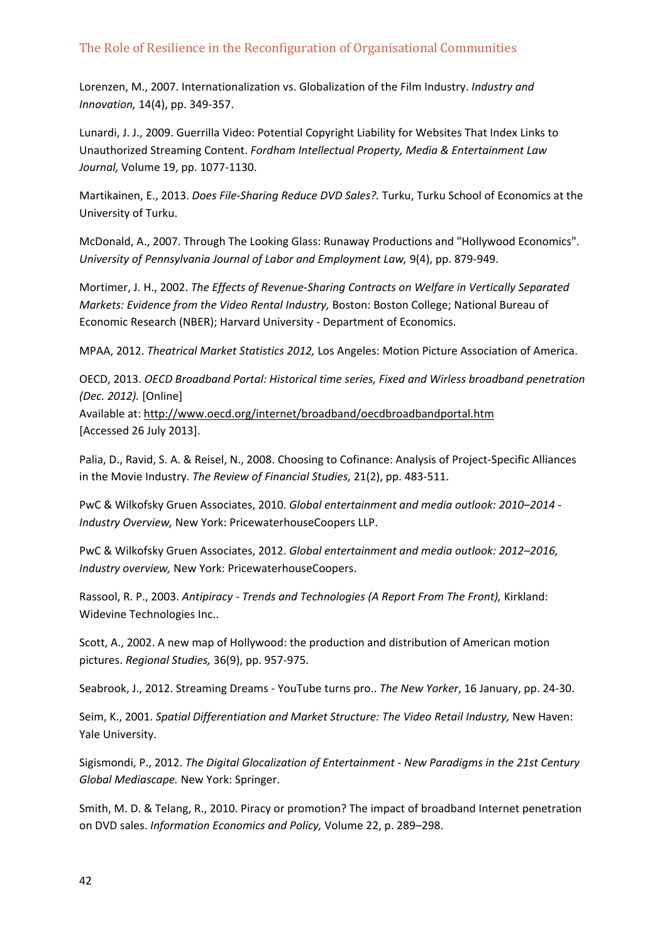Lorenzen, M., 2007. Internationalization vs. Globalization of the Film Industry. *Industry and Innovation,* 14(4), pp. 349‐357.

Lunardi, J. J., 2009. Guerrilla Video: Potential Copyright Liability for Websites That Index Links to Unauthorized Streaming Content. *Fordham Intellectual Property, Media & Entertainment Law Journal,* Volume 19, pp. 1077‐1130.

Martikainen, E., 2013. *Does File‐Sharing Reduce DVD Sales?.* Turku, Turku School of Economics at the University of Turku.

McDonald, A., 2007. Through The Looking Glass: Runaway Productions and "Hollywood Economics". *University of Pennsylvania Journal of Labor and Employment Law,* 9(4), pp. 879‐949.

Mortimer, J. H., 2002. *The Effects of Revenue‐Sharing Contracts on Welfare in Vertically Separated Markets: Evidence from the Video Rental Industry,* Boston: Boston College; National Bureau of Economic Research (NBER); Harvard University ‐ Department of Economics.

MPAA, 2012. *Theatrical Market Statistics 2012,* Los Angeles: Motion Picture Association of America.

OECD, 2013. *OECD Broadband Portal: Historical time series, Fixed and Wirless broadband penetration (Dec. 2012).* [Online] Available at: http://www.oecd.org/internet/broadband/oecdbroadbandportal.htm [Accessed 26 July 2013].

Palia, D., Ravid, S. A. & Reisel, N., 2008. Choosing to Cofinance: Analysis of Project‐Specific Alliances in the Movie Industry. *The Review of Financial Studies,* 21(2), pp. 483‐511.

PwC & Wilkofsky Gruen Associates, 2010. *Global entertainment and media outlook: 2010–2014 ‐ Industry Overview,* New York: PricewaterhouseCoopers LLP.

PwC & Wilkofsky Gruen Associates, 2012. *Global entertainment and media outlook: 2012–2016, Industry overview,* New York: PricewaterhouseCoopers.

Rassool, R. P., 2003. *Antipiracy ‐ Trends and Technologies (A Report From The Front),* Kirkland: Widevine Technologies Inc..

Scott, A., 2002. A new map of Hollywood: the production and distribution of American motion pictures. *Regional Studies,* 36(9), pp. 957‐975.

Seabrook, J., 2012. Streaming Dreams ‐ YouTube turns pro.. *The New Yorker*, 16 January, pp. 24‐30.

Seim, K., 2001. *Spatial Differentiation and Market Structure: The Video Retail Industry,* New Haven: Yale University.

Sigismondi, P., 2012. *The Digital Glocalization of Entertainment ‐ New Paradigms in the 21st Century Global Mediascape.* New York: Springer.

Smith, M. D. & Telang, R., 2010. Piracy or promotion? The impact of broadband Internet penetration on DVD sales. *Information Economics and Policy,* Volume 22, p. 289–298.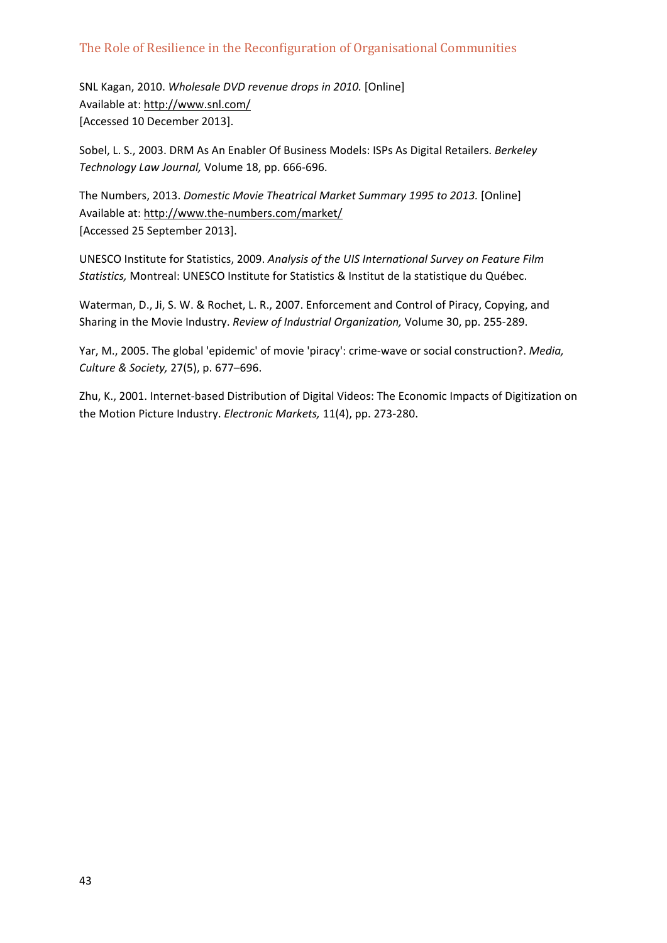SNL Kagan, 2010. *Wholesale DVD revenue drops in 2010.* [Online] Available at: http://www.snl.com/ [Accessed 10 December 2013].

Sobel, L. S., 2003. DRM As An Enabler Of Business Models: ISPs As Digital Retailers. *Berkeley Technology Law Journal,* Volume 18, pp. 666‐696.

The Numbers, 2013. *Domestic Movie Theatrical Market Summary 1995 to 2013.* [Online] Available at: http://www.the‐numbers.com/market/ [Accessed 25 September 2013].

UNESCO Institute for Statistics, 2009. *Analysis of the UIS International Survey on Feature Film Statistics,* Montreal: UNESCO Institute for Statistics & Institut de la statistique du Québec.

Waterman, D., Ji, S. W. & Rochet, L. R., 2007. Enforcement and Control of Piracy, Copying, and Sharing in the Movie Industry. *Review of Industrial Organization,* Volume 30, pp. 255‐289.

Yar, M., 2005. The global 'epidemic' of movie 'piracy': crime‐wave or social construction?. *Media, Culture & Society,* 27(5), p. 677–696.

Zhu, K., 2001. Internet‐based Distribution of Digital Videos: The Economic Impacts of Digitization on the Motion Picture Industry. *Electronic Markets,* 11(4), pp. 273‐280.